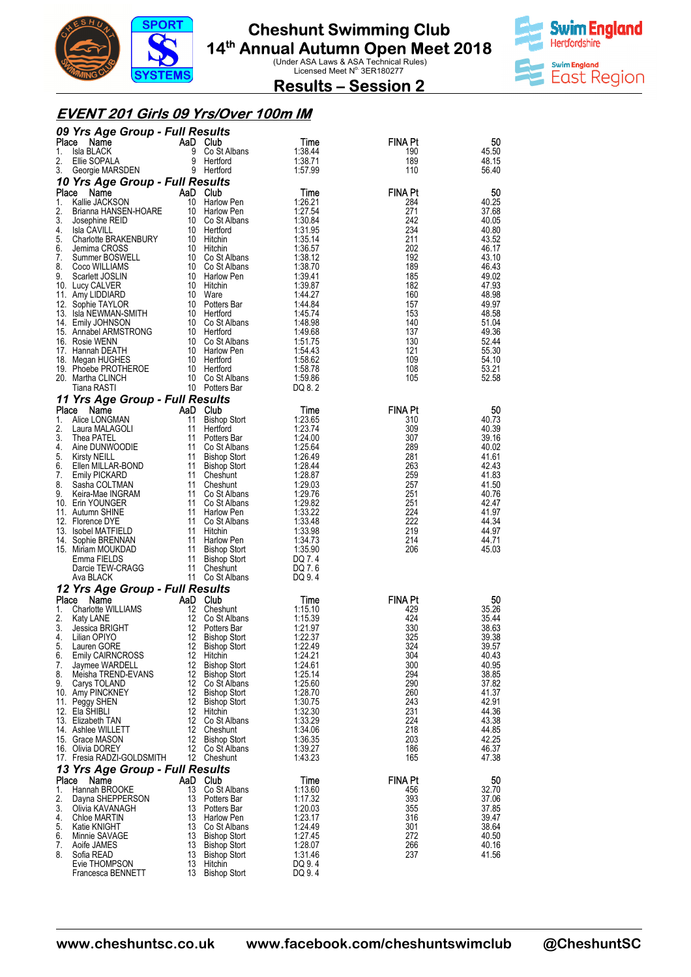



**Results – Session 2** 

#### **EVENT 201 Girls 09 Yrs/Over 100m IM**

|             | 09 Yrs Age Group - Full Results                  |                       |                                            |                    |                       |                |
|-------------|--------------------------------------------------|-----------------------|--------------------------------------------|--------------------|-----------------------|----------------|
| Place<br>1. | Name<br><b>Isla BLACK</b>                        | AaD Club<br>9         |                                            | Time<br>1:38.44    | <b>FINA Pt</b><br>190 | 50<br>45.50    |
| 2.          | Ellie SOPALA                                     | 9                     | Co St Albans<br>Hertford                   | 1:38.71            | 189                   | 48.15          |
| 3.          | Georgie MARSDEN                                  |                       | 9 Hertford                                 | 1:57.99            | 110                   | 56.40          |
|             | 10 Yrs Age Group - Full Results                  |                       |                                            |                    |                       |                |
| Place       | Name                                             | AaD Club              |                                            | Time               | <b>FINA Pt</b>        | 50             |
| 1.<br>2.    | Kallie JACKSON<br>Brianna HANSEN-HOARE           | 10                    | Harlow Pen<br>10 Harlow Pen                | 1:26.21<br>1:27.54 | 284<br>271            | 40.25<br>37.68 |
| 3.          | Josephine REID                                   |                       | 10 Co St Albans                            | 1:30.84            | 242                   | 40.05          |
| 4.          | Isla CAVILL                                      |                       | 10 Hertford                                | 1:31.95            | 234                   | 40.80          |
| 5.          | Charlotte BRAKENBURY                             |                       | 10 Hitchin                                 | 1:35.14            | 211                   | 43.52          |
| 6.<br>7.    | Jemima CROSS                                     |                       | 10 Hitchin<br>10 Co St Albans              | 1:36.57            | 202<br>192            | 46.17<br>43.10 |
| 8.          | Summer BOSWELL<br>Coco WILLIAMS                  |                       | 10 Co St Albans                            | 1:38.12<br>1:38.70 | 189                   | 46.43          |
| 9.          | Scarlett JOSLIN                                  |                       | 10 Harlow Pen                              | 1:39.41            | 185                   | 49.02          |
|             | 10. Lucy CALVER                                  |                       | 10 Hitchin                                 | 1:39.87            | 182                   | 47.93          |
|             | 11. Amy LIDDIARD<br>12. Sophie TAYLOR            |                       | 10 Ware<br>10 Potters Bar                  | 1:44.27<br>1.44.84 | 160<br>157            | 48.98<br>49.97 |
|             | 13. Isla NEWMAN-SMITH                            |                       | 10 Hertford                                | 1.45.74            | 153                   | 48.58          |
|             | 14. Emily JOHNSON                                |                       | 10 Co St Albans                            | 1:48.98            | 140                   | 51.04          |
|             | 15. Annabel ARMSTRONG                            |                       | 10 Hertford                                | 1:49.68            | 137                   | 49.36          |
|             | 16. Rosie WENN<br>17. Hannah DEATH               |                       | 10 Co St Albans<br>10 Harlow Pen           | 1:51.75<br>1:54.43 | 130<br>121            | 52.44<br>55.30 |
|             | 18. Megan HUGHES                                 |                       | 10 Hertford                                | 1:58.62            | 109                   | 54.10          |
|             | 19. Phoebe PROTHEROE                             |                       | 10 Hertford                                | 1:58.78            | 108                   | 53.21          |
|             | 20. Martha CLINCH                                |                       | 10 Co St Albans                            | 1:59.86            | 105                   | 52.58          |
|             | Tiana RASTI                                      |                       | 10 Potters Bar                             | DQ 8.2             |                       |                |
|             | 11 Yrs Age Group - Full Results<br>Place<br>Name | AaD Club              |                                            | Time               | <b>FINA Pt</b>        | 50             |
| 1.          | Alice LONGMAN                                    | 11                    | <b>Bishop Stort</b>                        | 1:23.65            | 310                   | 40.73          |
| 2.          | Laura MALAGOLI                                   | 11                    | Hertford                                   | 1:23.74            | 309                   | 40.39          |
| 3.          | Thea PATEL                                       |                       | 11 Potters Bar                             | 1:24.00            | 307                   | 39.16          |
| 4.<br>5.    | Aine DUNWOODIE<br><b>Kirsty NEILL</b>            |                       | 11 Co St Albans<br>11 Bishop Stort         | 1:25.64<br>1:26.49 | 289<br>281            | 40.02<br>41.61 |
| 6.          | Ellen MILLAR-BOND                                |                       | 11 Bishop Stort                            | 1:28.44            | 263                   | 42.43          |
| 7.          | <b>Emily PICKARD</b>                             |                       | 11 Cheshunt                                | 1:28.87            | 259                   | 41.83          |
| 8.          | Sasha COLTMAN                                    |                       | 11 Cheshunt                                | 1:29.03            | 257                   | 41.50          |
| 9.          | Keira-Mae INGRAM<br>10. Erin YOUNGER             |                       | 11 Co St Albans<br>11 Co St Albans         | 1:29.76<br>1:29.82 | 251<br>251            | 40.76<br>42.47 |
|             | 11. Autumn SHINE                                 |                       | 11 Harlow Pen                              | 1:33.22            | 224                   | 41.97          |
|             | 12. Florence DYE                                 |                       | 11 Co St Albans                            | 1:33.48            | 222                   | 44.34          |
|             | 13. Isobel MATFIELD<br>14. Sophie BRENNAN        | 11                    | Hitchin<br>11 Harlow Pen                   | 1:33.98<br>1:34.73 | 219<br>214            | 44.97<br>44.71 |
|             | 15. Miriam MOUKDAD                               |                       | 11 Bishop Stort                            | 1:35.90            | 206                   | 45.03          |
|             | Emma FIELDS                                      | 11                    | Bishop Stort                               | DQ 7.4             |                       |                |
|             | Darcie TEW-CRAGG                                 |                       | 11 Cheshunt                                | DQ 7.6             |                       |                |
|             | Ava BLACK                                        |                       | 11 Co St Albans                            | DQ 9.4             |                       |                |
| Place       | 12 Yrs Age Group - Full Results<br>Name          | AaD Club              |                                            | Time               | FINA Pt               | 50             |
| 1.          | Charlotte WILLIAMS                               |                       | 12 Cheshunt                                | 1:15.10            | 429                   | 35.26          |
| 2.          | <b>Katy LANE</b>                                 |                       | 12 Co St Albans                            | 1:15.39            | 424                   | 35.44          |
| 3.          | Jessica BRIGHT                                   |                       | 12 Potters Bar                             | 1:21.97            | 330                   | 38.63          |
| 4.          | Lilian OPIYO<br>5. Lauren GORE                   | 12<br>12 <sup>1</sup> | <b>Bishop Stort</b><br><b>Bishop Stort</b> | 1:22.37<br>1:22.49 | 325<br>324            | 39.38<br>39.57 |
| 6.          | <b>Emily CAIRNCROSS</b>                          | 12                    | Hitchin                                    | 1:24.21            | 304                   | 40.43          |
| 7.          | Jaymee WARDELL                                   | 12                    | <b>Bishop Stort</b>                        | 1:24.61            | 300                   | 40.95          |
| 8.<br>9.    | Meisha TREND-EVANS<br>Carys TOLAND               | 12                    | <b>Bishop Stort</b><br>12 Co St Albans     | 1:25.14<br>1:25.60 | 294<br>290            | 38.85<br>37.82 |
|             | 10. Amy PINCKNEY                                 | 12                    | <b>Bishop Stort</b>                        | 1:28.70            | 260                   | 41.37          |
|             | 11. Peggy SHEN                                   |                       | 12 Bishop Stort                            | 1:30.75            | 243                   | 42.91          |
|             | 12. Ela SHIBLI                                   |                       | 12 Hitchin                                 | 1:32.30            | 231                   | 44.36          |
|             | 13. Elizabeth TAN<br>14. Ashlee WILLETT          |                       | 12 Co St Albans<br>12 Cheshunt             | 1:33.29<br>1:34.06 | 224<br>218            | 43.38<br>44.85 |
|             | 15. Grace MASON                                  | 12                    | <b>Bishop Stort</b>                        | 1:36.35            | 203                   | 42.25          |
|             | 16. Olivia DOREY                                 |                       | 12 Co St Albans                            | 1:39.27            | 186                   | 46.37          |
|             | 17. Fresia RADZI-GOLDSMITH                       |                       | 12 Cheshunt                                | 1:43.23            | 165                   | 47.38          |
|             | 13 Yrs Age Group - Full Results                  | AaD Club              |                                            |                    | <b>FINA Pt</b>        |                |
| Place<br>1. | Name<br>Hannah BROOKE                            | 13                    | Co St Albans                               | Time<br>1:13.60    | 456                   | 50<br>32.70    |
| 2.          | Dayna SHEPPERSON                                 | 13                    | Potters Bar                                | 1:17.32            | 393                   | 37.06          |
| 3.          | Olivia KAVANAGH                                  |                       | 13 Potters Bar                             | 1:20.03            | 355                   | 37.85          |
| 4.          | Chloe MARTIN                                     |                       | 13 Harlow Pen                              | 1:23.17            | 316                   | 39.47          |
| 5.<br>6.    | Katie KNIGHT<br>Minnie SAVAGE                    |                       | 13 Co St Albans<br>13 Bishop Stort         | 1:24.49<br>1:27.45 | 301<br>272            | 38.64<br>40.50 |
| 7.          | Aoife JAMES                                      |                       | 13 Bishop Stort                            | 1:28.07            | 266                   | 40.16          |
| 8.          | Sofia READ                                       |                       | 13 Bishop Stort                            | 1:31.46            | 237                   | 41.56          |
|             | Evie THOMPSON<br>Francesca BENNETT               | 13                    | Hitchin<br>13 Bishop Stort                 | DQ 9.4<br>DQ 9.4   |                       |                |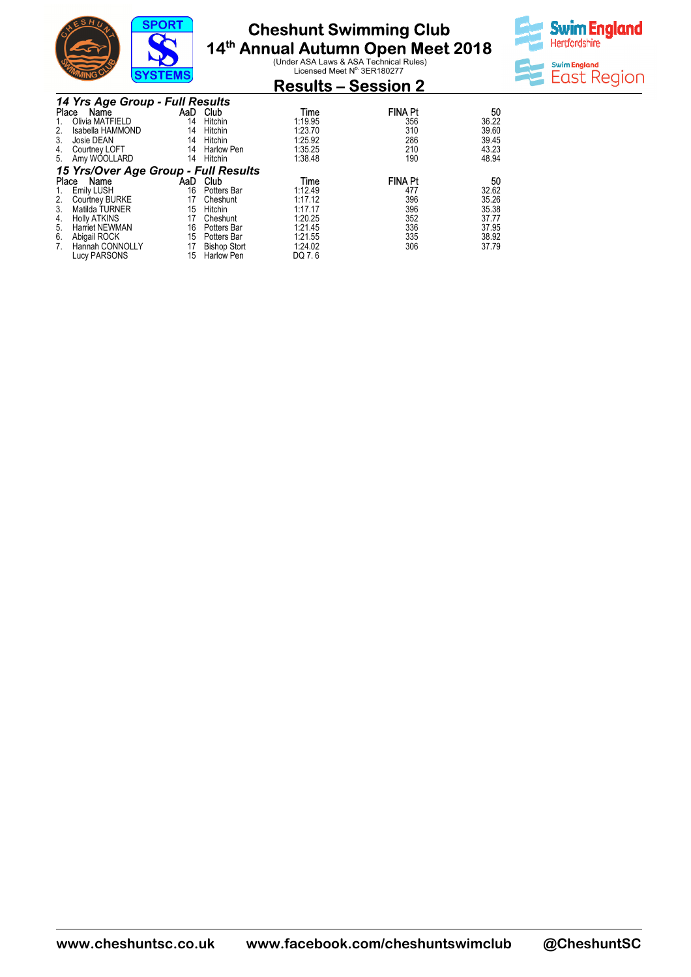

#### **Cheshunt Swimming 14th Annual Autumn Open Meet 2018 Club**

**Ual Autumn Open Meet 2018**<br>Under ASA Laws & ASA Technical Rules)<br>Licensed Meet N<sup>o.</sup> 3ER180277



| שווייצ                               | $5151$ CM $5$ |                     |         | <b>Results – Session 2</b> |       |
|--------------------------------------|---------------|---------------------|---------|----------------------------|-------|
| 14 Yrs Age Group - Full Results      |               |                     |         |                            |       |
| Place<br>Name                        | AaD           | Club                | Time    | <b>FINA Pt</b>             | 50    |
| Olivia MATFIELD                      | 14            | Hitchin             | 1:19.95 | 356                        | 36.22 |
| Isabella HAMMOND                     | 14            | Hitchin             | 1:23.70 | 310                        | 39.60 |
| 3.<br>Josie DEAN                     | 14            | Hitchin             | 1:25.92 | 286                        | 39.45 |
| Courtney LOFT<br>4.                  | 14            | <b>Harlow Pen</b>   | 1:35.25 | 210                        | 43.23 |
| Amy WOOLLARD<br>5.                   | 14            | Hitchin             | 1:38.48 | 190                        | 48.94 |
| 15 Yrs/Over Age Group - Full Results |               |                     |         |                            |       |
| Name<br>Place                        | AaD           | Club                | Time    | <b>FINA Pt</b>             | 50    |
| Emily LUSH                           | 16            | Potters Bar         | 1:12.49 | 477                        | 32.62 |
| Courtney BURKE                       | 17            | Cheshunt            | 1:17.12 | 396                        | 35.26 |
| 3.<br>Matilda TURNER                 | 15            | Hitchin             | 1:17.17 | 396                        | 35.38 |
| <b>Holly ATKINS</b><br>4.            | 17            | Cheshunt            | 1:20.25 | 352                        | 37.77 |
| <b>Harriet NEWMAN</b><br>5.          | 16            | Potters Bar         | 1:21.45 | 336                        | 37.95 |
| Abigail ROCK<br>6.                   | 15            | Potters Bar         | 1:21.55 | 335                        | 38.92 |
| Hannah CONNOLLY                      | 17            | <b>Bishop Stort</b> | 1:24.02 | 306                        | 37.79 |
| <b>Lucy PARSONS</b>                  | 15            | <b>Harlow Pen</b>   | DQ 7.6  |                            |       |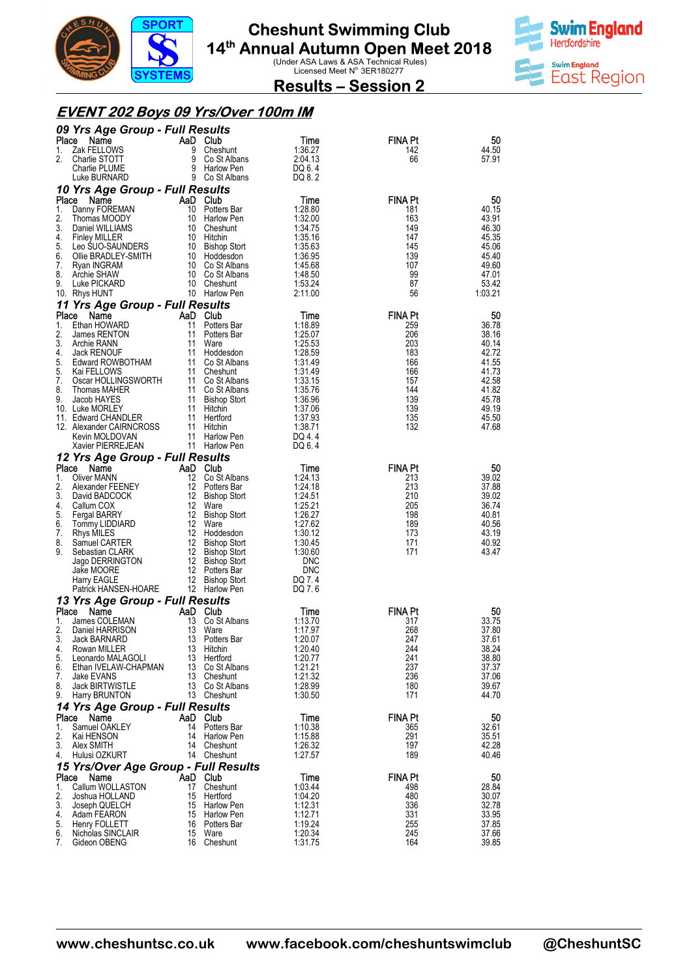



**Results – Session 2** 

#### **EVENT 202 Boys 09 Yrs/Over 100m IM**

|             | 09 Yrs Age Group - Full Results            |                |                                    |                    |                       |                |
|-------------|--------------------------------------------|----------------|------------------------------------|--------------------|-----------------------|----------------|
| Place       | Name                                       | AaD Club       |                                    | Time               | FINA Pt               | 50             |
| 1.<br>2.    | Zak FELLOWS<br>Charlie STOTT               | 9<br>9         | Cheshunt<br>Co St Albans           | 1:36.27<br>2:04.13 | 142<br>66             | 44.50<br>57.91 |
|             | Charlie PLUME                              | 9              | Harlow Pen                         | DQ 6.4             |                       |                |
|             | Luke BURNARD                               |                | 9 Co St Albans                     | DQ 8.2             |                       |                |
| Place       | 10 Yrs Age Group - Full Results<br>Name    | AaD Club       |                                    | Time               | <b>FINA Pt</b>        | 50             |
| 1.          | Danny FOREMAN                              | 10             | Potters Bar                        | 1:28.80            | 181                   | 40.15          |
| 2.          | Thomas MOODY                               |                | 10 Harlow Pen                      | 1:32.00            | 163                   | 43.91          |
| 3.<br>4.    | Daniel WILLIAMS<br><b>Finley MILLER</b>    |                | 10 Cheshunt<br>10 Hitchin          | 1:34.75<br>1:35.16 | 149<br>147            | 46.30<br>45.35 |
| 5.          | Leo SUO-SAUNDERS                           |                | 10 Bishop Stort                    | 1:35.63            | 145                   | 45.06          |
| 6.          | Ollie BRADLEY-SMITH                        |                | 10 Hoddesdon                       | 1:36.95            | 139                   | 45.40          |
| 7.<br>8.    | Ryan INGRAM<br>Archie SHAW                 |                | 10 Co St Albans<br>10 Co St Albans | 1:45.68<br>1:48.50 | 107<br>99             | 49.60<br>47.01 |
| 9.          | Luke PICKARD                               |                | 10 Cheshunt                        | 1:53.24            | 87                    | 53.42          |
|             | 10. Rhys HUNT                              |                | 10 Harlow Pen                      | 2:11.00            | 56                    | 1:03.21        |
|             | 11 Yrs Age Group - Full Results            |                |                                    |                    |                       |                |
| Place<br>1. | Name<br>Ethan HOWARD                       | AaD Club<br>11 | Potters Bar                        | Time<br>1:18.89    | <b>FINA Pt</b><br>259 | 50<br>36.78    |
| 2.          | James RENTON                               | 11             | Potters Bar                        | 1:25.07            | 206                   | 38.16          |
| 3.          | Archie RANN                                | 11             | Ware                               | 1:25.53            | 203                   | 40.14          |
| 4.<br>5.    | <b>Jack RENOUF</b><br>Edward ROWBOTHAM     |                | 11 Hoddesdon<br>11 Co St Albans    | 1:28.59<br>1:31.49 | 183<br>166            | 42.72<br>41.55 |
| 5.          | Kai FELLOWS                                |                | 11 Cheshunt                        | 1:31.49            | 166                   | 41.73          |
| 7.          | Oscar HOLLINGSWORTH                        |                | 11 Co St Albans                    | 1:33.15            | 157                   | 42.58          |
| 8.<br>9.    | Thomas MAHER<br>Jacob HAYES                |                | 11 Co St Albans<br>11 Bishop Stort | 1:35.76<br>1:36.96 | 144<br>139            | 41.82<br>45.78 |
|             | 10. Luke MORLEY                            |                | 11 Hitchin                         | 1:37.06            | 139                   | 49.19          |
|             | 11. Edward CHANDLER                        |                | 11 Hertford                        | 1:37.93            | 135<br>132            | 45.50          |
|             | 12. Alexander CAIRNCROSS<br>Kevin MOLDOVAN | 11             | 11 Hitchin<br>Harlow Pen           | 1:38.71<br>DQ 4.4  |                       | 47.68          |
|             | Xavier PIERREJEAN                          |                | 11 Harlow Pen                      | DQ 6.4             |                       |                |
|             | 12 Yrs Age Group - Full Results            |                |                                    |                    |                       |                |
| Place<br>1. | Name<br>Oliver MANN                        | AaD Club       | 12 Co St Albans                    | Time<br>1:24.13    | <b>FINA Pt</b><br>213 | 50<br>39.02    |
| 2.          | Alexander FEENEY                           |                | 12 Potters Bar                     | 1:24.18            | 213                   | 37.88          |
| 3.          | David BADCOCK                              |                | 12 Bishop Stort                    | 1:24.51            | 210                   | 39.02          |
| 4.<br>5.    | Callum COX                                 |                | 12 Ware<br>12 Bishop Stort         | 1:25.21<br>1:26.27 | 205<br>198            | 36.74<br>40.81 |
| 6.          | <b>Fergal BARRY</b><br>Tommy LIDDIARD      |                | 12 Ware                            | 1:27.62            | 189                   | 40.56          |
| 7.          | Rhys MILES                                 |                | 12 Hoddesdon                       | 1:30.12            | 173                   | 43.19          |
| 8.<br>9.    | Samuel CARTER<br>Sebastian CLARK           |                | 12 Bishop Stort<br>12 Bishop Stort | 1:30.45<br>1:30.60 | 171<br>171            | 40.92<br>43.47 |
|             | Jago DERRINGTON                            |                | 12 Bishop Stort                    | <b>DNC</b>         |                       |                |
|             | Jake MOORE                                 |                | 12 Potters Bar                     | <b>DNC</b>         |                       |                |
|             | Harry EAGLE<br>Patrick HANSEN-HOARE        |                | 12 Bishop Stort<br>12 Harlow Pen   | DQ 7.4<br>DQ 7.6   |                       |                |
|             | 13 Yrs Age Group - Full Results            |                |                                    |                    |                       |                |
| Place       | Name                                       | AaD Club       |                                    | Time               | <b>FINA Pt</b>        | 50             |
| 1.<br>2.    | James COLEMAN                              | 13<br>13       | Co St Albans                       | 1:13.70            | 317<br>268            | 33.75          |
| 3.          | Daniel HARRISON<br>Jack BARNARD            | 13             | Ware<br>Potters Bar                | 1:17.97<br>1:20.07 | 247                   | 37.80<br>37.61 |
| 4.          | Rowan MILLER                               | 13             | Hitchin                            | 1:20.40            | 244                   | 38.24          |
| 5.<br>6.    | Leonardo MALAGOLI<br>Ethan IVELAW-CHAPMAN  | 13<br>13       | Hertford                           | 1:20.77<br>1:21.21 | 241<br>237            | 38.80<br>37.37 |
| 7.          | Jake EVANS                                 | 13             | Co St Albans<br>Cheshunt           | 1:21.32            | 236                   | 37.06          |
| 8.          | <b>Jack BIRTWISTLE</b>                     |                | 13 Co St Albans                    | 1:28.99            | 180                   | 39.67          |
| 9.          | Harry BRUNTON                              |                | 13 Cheshunt                        | 1:30.50            | 171                   | 44.70          |
| Place       | 14 Yrs Age Group - Full Results<br>Name    | AaD            | <b>Club</b>                        | Time               | <b>FINA Pt</b>        | 50             |
| 1.          | Samuel OAKLEY                              | 14             | Potters Bar                        | 1:10.38            | 365                   | 32.61          |
| 2.          | Kai HENSON                                 | 14             | Harlow Pen                         | 1:15.88            | 291                   | 35.51          |
| 3.<br>4.    | Alex SMITH<br>Hulusi OZKURT                | 14             | Cheshunt<br>14 Cheshunt            | 1:26.32<br>1:27.57 | 197<br>189            | 42.28<br>40.46 |
|             | 15 Yrs/Over Age Group - Full Results       |                |                                    |                    |                       |                |
| Place       | Name                                       | AaD Club       |                                    | Time               | <b>FINA Pt</b>        | 50             |
| 1.<br>2.    | Callum WOLLASTON<br>Joshua HOLLAND         | 17<br>15       | Cheshunt<br>Hertford               | 1:03.44<br>1:04.20 | 498<br>480            | 28.84<br>30.07 |
| 3.          | Joseph QUELCH                              | 15             | Harlow Pen                         | 1:12.31            | 336                   | 32.78          |
| 4.          | Adam FEARON                                | 15             | <b>Harlow Pen</b>                  | 1:12.71            | 331                   | 33.95          |
| 5.<br>6.    | Henry FOLLETT<br>Nicholas SINCLAIR         | 16<br>15       | Potters Bar<br>Ware                | 1:19.24<br>1:20.34 | 255<br>245            | 37.85<br>37.66 |
| 7.          | Gideon OBENG                               | 16             | Cheshunt                           | 1:31.75            | 164                   | 39.85          |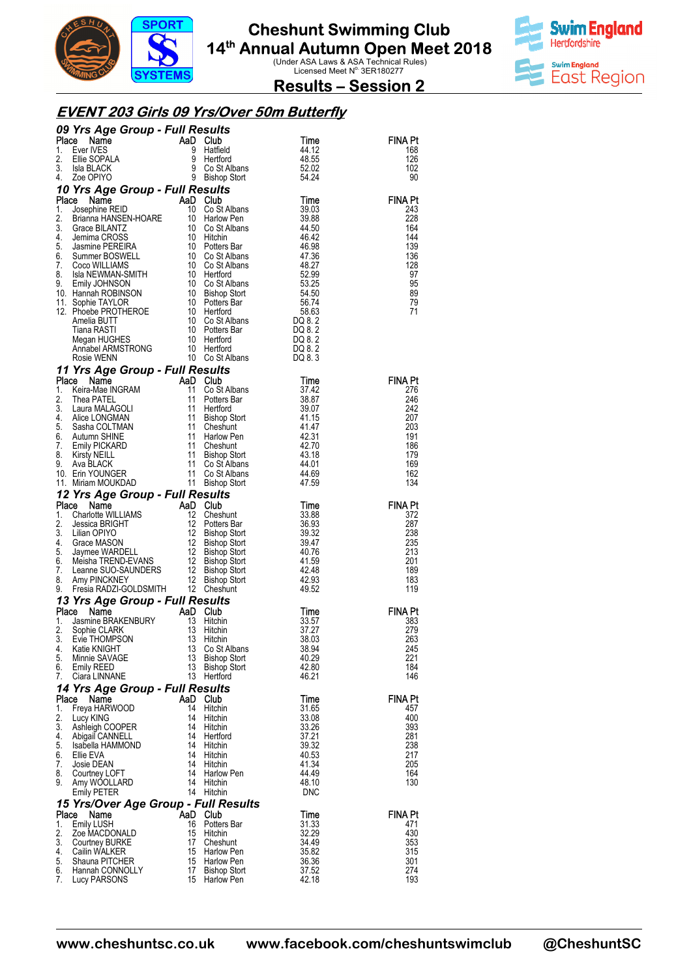



**Results – Session 2** 

#### **EVENT 203 Girls 09 Yrs/Over 50m Butterfly**

|          | 09 Yrs Age Group - Full Results                                                                                                                                                                                                                                                                 |          |                                         |                     |                |
|----------|-------------------------------------------------------------------------------------------------------------------------------------------------------------------------------------------------------------------------------------------------------------------------------------------------|----------|-----------------------------------------|---------------------|----------------|
| Place    | Name                                                                                                                                                                                                                                                                                            |          | <b>Club</b>                             | Time                | FINA Pt        |
| 1.<br>2. | Ever IVES<br>Ellie SOPALA                                                                                                                                                                                                                                                                       |          | Hatfield<br>Hertford                    | 44.12<br>48.55      | 168<br>126     |
| 3.       | Isla BLACK                                                                                                                                                                                                                                                                                      |          | Co St Albans                            | 52.02               | 102            |
| 4.       | Zoe OPIYO                                                                                                                                                                                                                                                                                       |          | 9 Bishop Stort                          | 54.24               | 90             |
|          | 10 Yrs Age Group - Full Results                                                                                                                                                                                                                                                                 |          |                                         |                     |                |
| Place    | Josephine REID<br>Dosephine REID<br><b>Place Name</b><br>1. Josephine REID<br>2. Brianna HANSEN-HOARE<br>10 Co St Albans<br>4. Jennima CROSS<br>10 Co St Albans<br>4. Jennima CROSS<br>5. Jasmine PEREIRA<br>6. Summer BOSWELL<br>7. Coco WILLIAMS<br>7. Coco WILLIAMS<br>7. Coco WILLIAMS<br>8 |          | AaD Club                                | Time                | <b>FINA Pt</b> |
|          |                                                                                                                                                                                                                                                                                                 |          |                                         | 39.03<br>39.88      | 243<br>228     |
|          |                                                                                                                                                                                                                                                                                                 |          |                                         | 44.50               | 164            |
|          |                                                                                                                                                                                                                                                                                                 |          |                                         | 46.42               | 144            |
|          |                                                                                                                                                                                                                                                                                                 |          |                                         | 46.98               | 139            |
|          |                                                                                                                                                                                                                                                                                                 |          |                                         | 47.36<br>48.27      | 136<br>128     |
|          |                                                                                                                                                                                                                                                                                                 |          |                                         | 52.99               | 97             |
|          |                                                                                                                                                                                                                                                                                                 |          |                                         | 53.25               | 95             |
|          |                                                                                                                                                                                                                                                                                                 |          |                                         | 54.50               | 89             |
|          | 11. Supplie PROTHEROE<br>10 Potters Bar<br>Amelia BUTT 10 Co St Alban<br>Tiana RASTI 10 Potters Bar<br>Megan HUGHES 10 Hertford<br>10 Hertford                                                                                                                                                  |          |                                         | 56.74               | 79<br>71       |
|          |                                                                                                                                                                                                                                                                                                 |          | Co St Albans<br>Potters Bar<br>Hertford | DQ 8.2              |                |
|          |                                                                                                                                                                                                                                                                                                 |          |                                         | DQ 8.2              |                |
|          |                                                                                                                                                                                                                                                                                                 |          |                                         | DQ 8.2              |                |
|          | Megan HUGHES<br>Annabel ARMSTRONG<br>Rosie WENN                                                                                                                                                                                                                                                 | 10       | 10 Hertford<br>10 Co St Albans          | DQ 8.2<br>DQ 8.3    |                |
|          | 11 Yrs Age Group - Full Results                                                                                                                                                                                                                                                                 |          |                                         |                     |                |
| Place    | Ce Name Inc. Here is the Map Club<br>Keira-Mae INGRAM 11 Co St.<br>Thea PATEL 11 Potter<br>Laura MALAGOLI 11 Hertfor<br>Alice LONGMAN 11 Bishop<br>Sasha COLTMAN 11 Chesh<br>Autumn SHINE 11 Harlow<br>Emily PICKARD 11 Chesh<br>Kirsty NEILL                                                   |          |                                         | Time                | <b>FINA Pt</b> |
| 1.       |                                                                                                                                                                                                                                                                                                 |          | Co St Albans                            | 37.42               | 276            |
| 2.       |                                                                                                                                                                                                                                                                                                 |          | Potters Bar                             | 38.87               | 246            |
| 3.       |                                                                                                                                                                                                                                                                                                 |          | Hertford                                | 39.07               | 242            |
| 4.<br>5. |                                                                                                                                                                                                                                                                                                 |          | <b>Bishop Stort</b><br>Cheshunt         | 41.15<br>41.47      | 207<br>203     |
| 6.       |                                                                                                                                                                                                                                                                                                 |          | Harlow Pen                              | 42.31               | 191            |
| 7.       |                                                                                                                                                                                                                                                                                                 |          | Cheshunt                                | 42.70               | 186            |
| 8.       |                                                                                                                                                                                                                                                                                                 |          | Bishop Stort                            | 43.18               | 179            |
| 9.       | 10. Erin YOUNGER                                                                                                                                                                                                                                                                                |          | Co St Albans<br>Co St Albans            | 44.01<br>44.69      | 169<br>162     |
|          | 11. Miriam MOUKDAD                                                                                                                                                                                                                                                                              |          | 11 Bishop Stort                         | 47.59               | 134            |
|          | 12 Yrs Age Group - Full Results                                                                                                                                                                                                                                                                 |          |                                         |                     |                |
| Place    | <b>Processor And Club</b><br><b>Charlotte WILLIAMS</b><br><b>AD Club</b><br>Charlotte WILLIAMS<br>Jessica BRIGHT<br>Lilian OPIYO<br>12 Bishop Stort<br>Grace MASON<br>Jaymee WARDELL<br>Jessing Stort<br>Jaymee WARDELL<br>Many PINCKNEY<br>12 Bishop Stort<br>Leanne S                         |          |                                         | Time                | <b>FINA Pt</b> |
| 1.       |                                                                                                                                                                                                                                                                                                 |          |                                         | 33.88               | 372            |
| 2.<br>3. |                                                                                                                                                                                                                                                                                                 |          |                                         | 36.93<br>39.32      | 287<br>238     |
| 4.       |                                                                                                                                                                                                                                                                                                 |          |                                         | 39.47               | 235            |
| 5.       |                                                                                                                                                                                                                                                                                                 |          |                                         | 40.76               | 213            |
| 6.       |                                                                                                                                                                                                                                                                                                 |          |                                         | 41.59               | 201            |
| 7.<br>8. |                                                                                                                                                                                                                                                                                                 |          |                                         | 42.48<br>42.93      | 189<br>183     |
| 9.       | Fresia RADZI-GOLDSMITH 12 Cheshunt                                                                                                                                                                                                                                                              |          |                                         | 49.52               | 119            |
|          | 13 Yrs Age Group - Full Results                                                                                                                                                                                                                                                                 |          |                                         |                     |                |
| Place    | Name                                                                                                                                                                                                                                                                                            | AaD      | Club                                    | Time                | <b>FINA Pt</b> |
| 1.       | Jasmine BRAKENBURY                                                                                                                                                                                                                                                                              | 13       | Hitchin                                 | 33.57               | 383            |
| 2.<br>3. | Sophie CLARK<br>Evie THOMPSON                                                                                                                                                                                                                                                                   | 13<br>13 | Hitchin<br>Hitchin                      | 37.27<br>38.03      | 279<br>263     |
| 4.       | Katie KNIGHT                                                                                                                                                                                                                                                                                    | 13       | Co St Albans                            | 38.94               | 245            |
| 5.       | Minnie SAVAGE                                                                                                                                                                                                                                                                                   | 13       | <b>Bishop Stort</b>                     | 40.29               | 221            |
| 6.       | <b>Emily REED</b>                                                                                                                                                                                                                                                                               | 13       | <b>Bishop Stort</b><br>Hertford         | 42.80<br>46.21      | 184<br>146     |
| 7.       | Ciara LINNANE                                                                                                                                                                                                                                                                                   | 13       |                                         |                     |                |
| Place    | 14 Yrs Age Group - Full Results<br>Name                                                                                                                                                                                                                                                         |          | AaD Club                                | Time                | <b>FINA Pt</b> |
| 1.       | Freya HARWOOD                                                                                                                                                                                                                                                                                   | 14       | Hitchin                                 | 31.65               | 457            |
| 2.       | Lucy KING                                                                                                                                                                                                                                                                                       | 14       | Hitchin                                 | 33.08               | 400            |
| 3.       | Ashleigh COOPER                                                                                                                                                                                                                                                                                 | 14       | Hitchin                                 | 33.26               | 393            |
| 4.<br>5. | <b>Abigail CANNELL</b><br>Isabella HAMMOND                                                                                                                                                                                                                                                      | 14<br>14 | Hertford<br>Hitchin                     | 37.21<br>39.32      | 281<br>238     |
| 6.       | Ellie EVA                                                                                                                                                                                                                                                                                       | 14       | Hitchin                                 | 40.53               | 217            |
| 7.       | Josie DEAN                                                                                                                                                                                                                                                                                      | 14       | Hitchin                                 | 41.34               | 205            |
| 8.       | Courtney LOFT                                                                                                                                                                                                                                                                                   | 14       | <b>Harlow Pen</b>                       | 44.49               | 164            |
| 9.       | Amy WOOLLARD<br>Emily PETER                                                                                                                                                                                                                                                                     | 14<br>14 | Hitchin<br>Hitchin                      | 48.10<br><b>DNC</b> | 130            |
|          | 15 Yrs/Over Age Group - Full Results                                                                                                                                                                                                                                                            |          |                                         |                     |                |
| Place    | Name                                                                                                                                                                                                                                                                                            | AaD      | Club                                    | Time                | FINA Pt        |
| 1.       | <b>Emily LUSH</b>                                                                                                                                                                                                                                                                               | 16       | Potters Bar                             | 31.33               | 471            |
| 2.       | Zoe MACDONALD                                                                                                                                                                                                                                                                                   | 15       | Hitchin                                 | 32.29               | 430            |
| 3.<br>4. | <b>Courtney BURKE</b><br><b>Cailin WALKER</b>                                                                                                                                                                                                                                                   | 17<br>15 | Cheshunt<br>Harlow Pen                  | 34.49<br>35.82      | 353<br>315     |
| 5.       | Shauna PITCHER                                                                                                                                                                                                                                                                                  | 15       | Harlow Pen                              | 36.36               | 301            |
| 6.       | Hannah CONNOLLY                                                                                                                                                                                                                                                                                 | 17       | <b>Bishop Stort</b>                     | 37.52               | 274            |
| 7.       | Lucy PARSONS                                                                                                                                                                                                                                                                                    | 15       | Harlow Pen                              | 42.18               | 193            |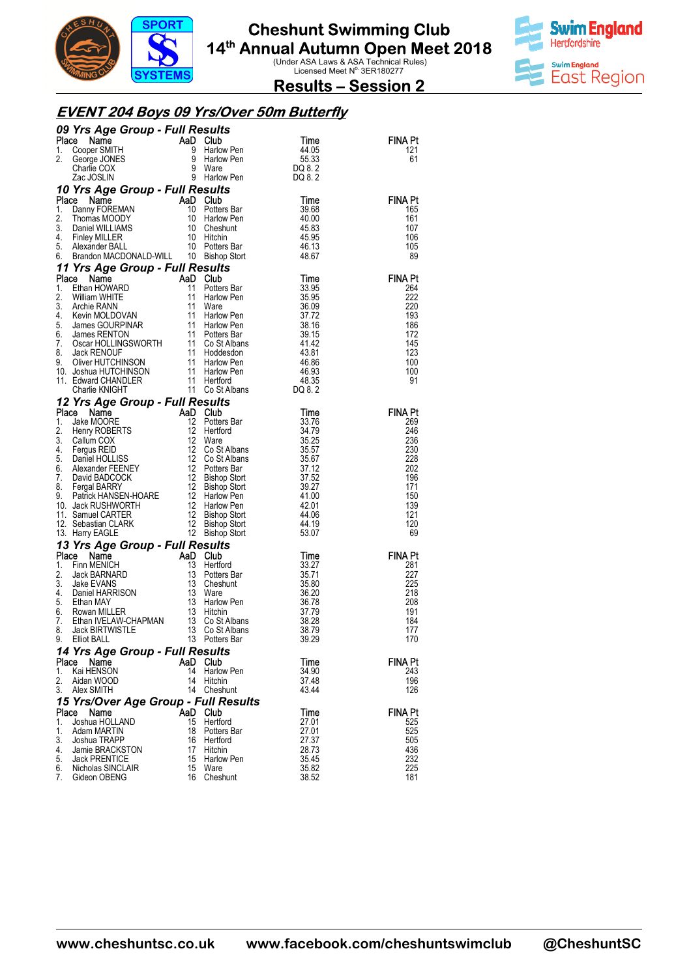



**Results – Session 2** 

#### **EVENT 204 Boys 09 Yrs/Over 50m Butterfly**

|          | 09 Yrs Age Group - Full Results<br>Trial<br>Solution Cooper SMITH<br>Cooper SMITH<br>George JONES<br>Charlie COX<br>Charlie COX<br>Cac JOSLIN<br>Cac JOSLIN<br>Cac JOSLIN<br>Cac JOSLIN<br>Cac JOSLIN<br>Cac JOSLIN<br>Cac DOSLIN<br>Cac DOSLIN<br>Cac DOSLIN<br>Cac DOSLIN<br>Cac DOSLIN<br>Cac DO |     |                     |                  |                       |  |  |
|----------|-----------------------------------------------------------------------------------------------------------------------------------------------------------------------------------------------------------------------------------------------------------------------------------------------------|-----|---------------------|------------------|-----------------------|--|--|
| Place    |                                                                                                                                                                                                                                                                                                     |     |                     | Time             | FINA Pt               |  |  |
| 1.       |                                                                                                                                                                                                                                                                                                     |     |                     | 44.05            | 121                   |  |  |
| 2.       |                                                                                                                                                                                                                                                                                                     |     |                     | 55.33            | 61                    |  |  |
|          |                                                                                                                                                                                                                                                                                                     |     |                     | DQ 8.2<br>DQ 8.2 |                       |  |  |
|          |                                                                                                                                                                                                                                                                                                     |     |                     |                  |                       |  |  |
| Place    | 10 Yrs Age Group - Full Results                                                                                                                                                                                                                                                                     |     |                     | Time             | FINA Pt               |  |  |
| 1.       |                                                                                                                                                                                                                                                                                                     |     |                     | 39.68            | 165                   |  |  |
| 2.       |                                                                                                                                                                                                                                                                                                     |     |                     | 40.00            | 161                   |  |  |
| 3.       |                                                                                                                                                                                                                                                                                                     |     |                     | 45.83            | 107                   |  |  |
| 4.       |                                                                                                                                                                                                                                                                                                     |     |                     | 45.95            | 106                   |  |  |
| 5.       |                                                                                                                                                                                                                                                                                                     |     |                     | 46.13            | 105                   |  |  |
| 6.       | CREATION CONTRACT CONTRACT CONTRACT ON THE DAMIN CONTRACT ON THE DAMIN CONTRACT ON THE DAMIN CONTRACT ON THE DAMIN CONTRACT ON THE DAMIN CONTRACT ON THE DAMIN CONTRACT ON THE DAMIN CONTRACT ON THE DAMIN CONTRACT ON THE DAM                                                                      |     |                     | 48.67            | 89                    |  |  |
|          | 11 Yrs Age Group - Full Results                                                                                                                                                                                                                                                                     |     |                     |                  |                       |  |  |
|          | 11 Yrs Age Group - Full Results<br>Place Name AaD Club<br>11 Potters Bar<br>2. William WHITE 11 Harlow Pen<br>3. Archie RANN 11 Potters Bar<br>4. Kevin MOLDOVAN 11 Harlow Pen<br>5. James GOURPINAR 11 Harlow Pen<br>5. James RENTON<br>7. Os                                                      |     |                     | Time             | <b>FINA Pt</b>        |  |  |
|          |                                                                                                                                                                                                                                                                                                     |     |                     | 33.95            | 264                   |  |  |
|          |                                                                                                                                                                                                                                                                                                     |     |                     | 35.95<br>36.09   | 222<br>220            |  |  |
|          |                                                                                                                                                                                                                                                                                                     |     |                     | 37.72            | 193                   |  |  |
|          |                                                                                                                                                                                                                                                                                                     |     |                     | 38.16            | 186                   |  |  |
|          |                                                                                                                                                                                                                                                                                                     |     |                     | 39.15            | 172                   |  |  |
|          |                                                                                                                                                                                                                                                                                                     |     |                     | 41.42            | 145                   |  |  |
|          |                                                                                                                                                                                                                                                                                                     |     |                     | - 43.81          | 123                   |  |  |
|          |                                                                                                                                                                                                                                                                                                     |     |                     | 46.86            | 100                   |  |  |
|          |                                                                                                                                                                                                                                                                                                     |     |                     | 46.93            | 100                   |  |  |
|          |                                                                                                                                                                                                                                                                                                     |     |                     | 48.35<br>DQ 8.2  | 91                    |  |  |
|          |                                                                                                                                                                                                                                                                                                     |     |                     |                  |                       |  |  |
|          | 12 Yrs Age Group - Full Results                                                                                                                                                                                                                                                                     |     |                     |                  |                       |  |  |
|          |                                                                                                                                                                                                                                                                                                     |     |                     | Time<br>33.76    | <b>FINA Pt</b><br>269 |  |  |
|          |                                                                                                                                                                                                                                                                                                     |     |                     | 34.79            | 246                   |  |  |
|          |                                                                                                                                                                                                                                                                                                     |     |                     | 35.25            | 236                   |  |  |
|          |                                                                                                                                                                                                                                                                                                     |     |                     | 35.57            | 230                   |  |  |
|          |                                                                                                                                                                                                                                                                                                     |     |                     | 35.67            | 228                   |  |  |
|          |                                                                                                                                                                                                                                                                                                     |     |                     | 37.12            | 202                   |  |  |
|          |                                                                                                                                                                                                                                                                                                     |     |                     | 37.52            | 196                   |  |  |
|          |                                                                                                                                                                                                                                                                                                     |     |                     | 39.27            | 171                   |  |  |
|          |                                                                                                                                                                                                                                                                                                     |     |                     | 41.00            | 150<br>139            |  |  |
|          |                                                                                                                                                                                                                                                                                                     |     |                     | 42.01<br>44.06   | 121                   |  |  |
|          |                                                                                                                                                                                                                                                                                                     |     |                     | 44.19            | 120                   |  |  |
|          |                                                                                                                                                                                                                                                                                                     |     |                     | 53.07            | 69                    |  |  |
|          | 12 Yrs Age Group - Full Results<br>Place Name AaD Club<br>1. Jake MOORE 12 Potters Bar<br>3. Callum COX 12 Hertford<br>4. Fergus REID 12 Co St Albans<br>5. Daniel HOLLISS 12 Co St Albans<br>6. Alexander FEENEY 12 Co St Albans<br>6. Alex<br>13 Yrs Age Group - Full Results                     |     |                     |                  |                       |  |  |
| Place    | <b>FIS Age Group - Full Results<br/> Rap Club</b><br>Finn MENICH<br>Jack BARNARD<br>Jack BARNARD<br>Jack EVANS<br>Daniel HARRISON<br>Daniel HARRISON<br>Toters Bar<br>Rowan MILLER<br>Ethan IVELAW-CHAPMAN<br>Towan MILLER<br>Ethan IVELAW-CHAPMAN<br>TO St Alb                                     |     |                     | Time             | <b>FINA Pt</b>        |  |  |
| 1.       |                                                                                                                                                                                                                                                                                                     |     |                     | 33.27            | 281                   |  |  |
| 2.       |                                                                                                                                                                                                                                                                                                     |     |                     | 35.71            | 227                   |  |  |
| 3.       |                                                                                                                                                                                                                                                                                                     |     |                     | 35.80            | 225                   |  |  |
| 4.       |                                                                                                                                                                                                                                                                                                     |     |                     | 36.20            | 218                   |  |  |
| 5.       |                                                                                                                                                                                                                                                                                                     |     |                     | 36.78            | 208                   |  |  |
| 6.<br>7. |                                                                                                                                                                                                                                                                                                     |     |                     | 37.79            | 191<br>184            |  |  |
| 8.       |                                                                                                                                                                                                                                                                                                     |     |                     | 38.28<br>38.79   | 177                   |  |  |
| 9.       |                                                                                                                                                                                                                                                                                                     |     |                     | 39.29            | 170                   |  |  |
|          | 14 Yrs Age Group - Full Results                                                                                                                                                                                                                                                                     |     |                     |                  |                       |  |  |
| Place    | Name                                                                                                                                                                                                                                                                                                | AaD | Club                | Time             | FINA Pt               |  |  |
| 1.       | Kai HENSON                                                                                                                                                                                                                                                                                          | 14  | Harlow Pen          | 34.90            | 243                   |  |  |
| 2.       | Aidan WOOD                                                                                                                                                                                                                                                                                          | 14  | Hitchin             | 37.48            | 196                   |  |  |
| 3.       | Alex SMITH                                                                                                                                                                                                                                                                                          | 14  | Cheshunt            | 43.44            | 126                   |  |  |
|          | 15 Yrs/Over Age Group - Full Results                                                                                                                                                                                                                                                                |     |                     |                  |                       |  |  |
| Place    | Name                                                                                                                                                                                                                                                                                                | AaD | Club                | Time             | <b>FINA Pt</b>        |  |  |
| 1.       | Joshua HOLLAND                                                                                                                                                                                                                                                                                      | 15  | Hertford            | 27.01            | 525                   |  |  |
| 1.       | Adam MARTIN                                                                                                                                                                                                                                                                                         | 18  | Potters Bar         | 27.01            | 525                   |  |  |
| 3.       | Joshua TRAPP                                                                                                                                                                                                                                                                                        | 16  | Hertford            | 27.37            | 505                   |  |  |
| 4.       | Jamie BRACKSTON                                                                                                                                                                                                                                                                                     | 17  | Hitchin             | 28.73            | 436                   |  |  |
| 5.       | <b>Jack PRENTICE</b>                                                                                                                                                                                                                                                                                | 15  | Harlow Pen          | 35.45            | 232                   |  |  |
| 6.<br>7. | Nicholas SINCLAIR<br>Gideon OBENG                                                                                                                                                                                                                                                                   | 15  | Ware<br>16 Cheshunt | 35.82<br>38.52   | 225<br>181            |  |  |
|          |                                                                                                                                                                                                                                                                                                     |     |                     |                  |                       |  |  |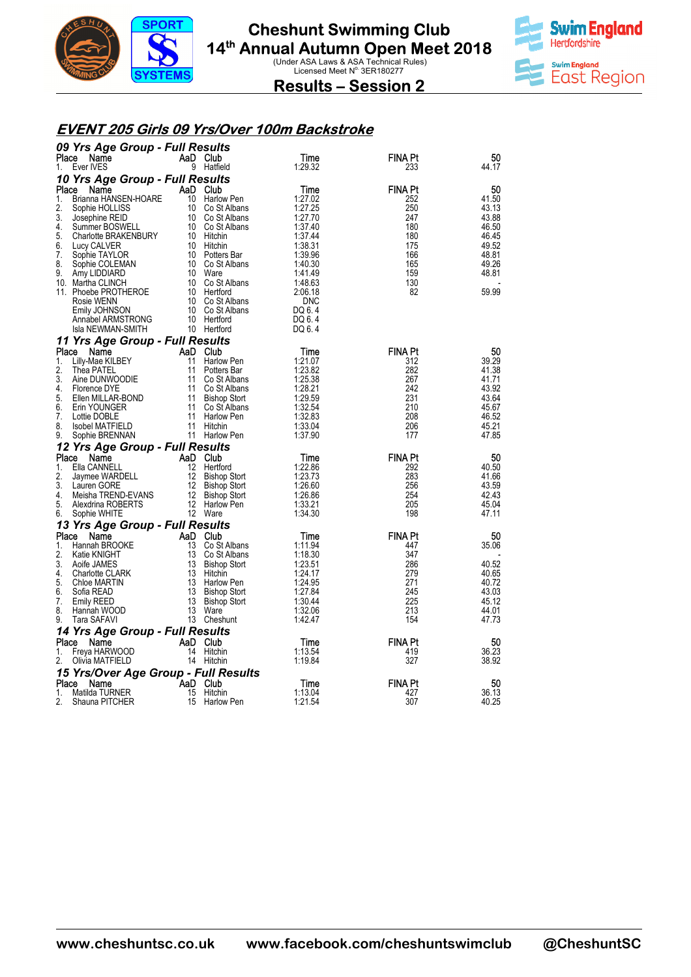



**Results – Session 2** 

#### **EVENT 205 Girls 09 Yrs/Over 100m Backstroke**

|             | 09 Yrs Age Group - Full Results         |          |                                        |                    |                       |                |  |
|-------------|-----------------------------------------|----------|----------------------------------------|--------------------|-----------------------|----------------|--|
| Place       | Name                                    | AaD Club |                                        | Time               | FINA Pt               | 50             |  |
| 1.          | Ever IVES                               |          | 9 Hatfield                             | 1:29.32            | 233                   | 44.17          |  |
|             | 10 Yrs Age Group - Full Results         |          |                                        |                    |                       |                |  |
| Place<br>1. | Name<br>Brianna HANSEN-HOARE            | AaD Club | 10 Harlow Pen                          | Time<br>1:27.02    | <b>FINA Pt</b><br>252 | 50<br>41.50    |  |
| 2.          | Sophie HOLLISS                          |          | 10 Co St Albans                        | 1:27.25            | 250                   | 43.13          |  |
| 3.          | Josephine REID                          |          | 10 Co St Albans                        | 1:27.70            | 247                   | 43.88          |  |
| 4.          | Summer BOSWELL                          |          | 10 Co St Albans                        | 1:37.40            | 180                   | 46.50          |  |
| 5.          | Charlotte BRAKENBURY                    |          | 10 Hitchin                             | 1:37.44            | 180                   | 46.45          |  |
| 6.          | Lucy CALVER                             |          | 10 Hitchin                             | 1:38.31            | 175                   | 49.52          |  |
| 7.<br>8.    | Sophie TAYLOR                           |          | 10 Potters Bar<br>10 Co St Albans      | 1:39.96<br>1:40.30 | 166<br>165            | 48.81<br>49.26 |  |
| 9.          | Sophie COLEMAN<br>Amy LIDDIARD          |          | 10 Ware                                | 1:41.49            | 159                   | 48.81          |  |
|             | 10. Martha CLINCH                       |          | 10 Co St Albans                        | 1:48.63            | 130                   |                |  |
|             | 11. Phoebe PROTHEROE                    |          | 10 Hertford                            | 2:06.18            | 82                    | 59.99          |  |
|             | Rosie WENN                              |          | 10 Co St Albans                        | <b>DNC</b>         |                       |                |  |
|             | Emily JOHNSON                           |          | 10 Co St Albans                        | DQ 6.4             |                       |                |  |
|             | Annabel ARMSTRONG                       |          | 10 Hertford                            | DQ 6.4             |                       |                |  |
|             | Isla NEWMAN-SMITH                       |          | 10 Hertford                            | DQ 6.4             |                       |                |  |
|             | 11 Yrs Age Group - Full Results         | AaD Club |                                        |                    |                       |                |  |
| Place<br>1. | Name<br>Lilly-Mae KILBEY                | 11       | Harlow Pen                             | Time<br>1:21.07    | <b>FINA Pt</b><br>312 | 50<br>39.29    |  |
| 2.          | Thea PATEL                              | 11       | Potters Bar                            | 1:23.82            | 282                   | 41.38          |  |
| 3.          | Aine DUNWOODIE                          | 11       | Co St Albans                           | 1:25.38            | 267                   | 41.71          |  |
| 4.          | Florence DYE                            |          | 11 Co St Albans                        | 1:28.21            | 242                   | 43.92          |  |
| 5.          | Ellen MILLAR-BOND                       | 11       | Bishop Stort                           | 1:29.59            | 231                   | 43.64          |  |
| 6.          | Erin YOUNGER                            | 11       | Co St Albans                           | 1:32.54            | 210                   | 45.67          |  |
| 7.<br>8.    | Lottie DOBLE<br><b>Isobel MATFIELD</b>  | 11       | Harlow Pen<br>11 Hitchin               | 1:32.83<br>1:33.04 | 208<br>206            | 46.52<br>45.21 |  |
| 9.          | Sophie BRENNAN                          |          | 11 Harlow Pen                          | 1:37.90            | 177                   | 47.85          |  |
|             | 12 Yrs Age Group - Full Results         |          |                                        |                    |                       |                |  |
| Place       | Name                                    | AaD Club |                                        | Time               | <b>FINA Pt</b>        | 50             |  |
| 1.          | Ella CANNELL                            | 12       | Hertford                               | 1:22.86            | 292                   | 40.50          |  |
| 2.          | Jaymee WARDELL                          | 12       | Bishop Stort                           | 1:23.73            | 283                   | 41.66          |  |
| 3.          | Lauren GORE                             | 12       | Bishop Stort                           | 1:26.60            | 256                   | 43.59          |  |
| 4.          | Meisha TREND-EVANS                      |          | 12 Bishop Stort                        | 1:26.86            | 254                   | 42.43          |  |
| 5.<br>6.    | Alexdrina ROBERTS<br>Sophie WHITE       |          | 12 Harlow Pen<br>12 Ware               | 1:33.21<br>1:34.30 | 205<br>198            | 45.04<br>47.11 |  |
|             |                                         |          |                                        |                    |                       |                |  |
| Place       | 13 Yrs Age Group - Full Results<br>Name | AaD Club |                                        | Time               | <b>FINA Pt</b>        | 50             |  |
| 1.          | Hannah BROOKE                           | 13       | Co St Albans                           | 1:11.94            | 447                   | 35.06          |  |
| 2.          | Katie KNIGHT                            | 13       | Co St Albans                           | 1:18.30            | 347                   |                |  |
| 3.          | Aoife JAMES                             |          | 13 Bishop Stort                        | 1:23.51            | 286                   | 40.52          |  |
| 4.          | <b>Charlotte CLARK</b>                  | 13       | Hitchin                                | 1:24.17            | 279                   | 40.65          |  |
| 5.          | Chloe MARTIN                            | 13       | Harlow Pen                             | 1:24.95            | 271                   | 40.72          |  |
| 6.<br>7.    | Sofia READ<br><b>Emily REED</b>         | 13       | <b>Bishop Stort</b><br>13 Bishop Stort | 1:27.84<br>1:30.44 | 245<br>225            | 43.03<br>45.12 |  |
| 8.          | Hannah WOOD                             | 13       | Ware                                   | 1:32.06            | 213                   | 44.01          |  |
| 9.          | Tara SAFAVI                             |          | 13 Cheshunt                            | 1:42.47            | 154                   | 47.73          |  |
|             | 14 Yrs Age Group - Full Results         |          |                                        |                    |                       |                |  |
| Place       | Name                                    | AaD      | Club                                   | Time               | <b>FINA Pt</b>        | 50             |  |
| 1.          | Freya HARWOOD                           |          | 14 Hitchin                             | 1:13.54            | 419                   | 36.23          |  |
| 2.          | Olivia MATFIELD                         |          | 14 Hitchin                             | 1:19.84            | 327                   | 38.92          |  |
|             | 15 Yrs/Over Age Group - Full Results    |          |                                        |                    |                       |                |  |
| Place       | Name                                    | AaD Club |                                        | Time               | <b>FINA Pt</b>        | 50             |  |
| 1.          | Matilda TURNER                          | 15       | Hitchin                                | 1:13.04            | 427                   | 36.13          |  |
| 2.          | Shauna PITCHER                          | 15       | Harlow Pen                             | 1:21.54            | 307                   | 40.25          |  |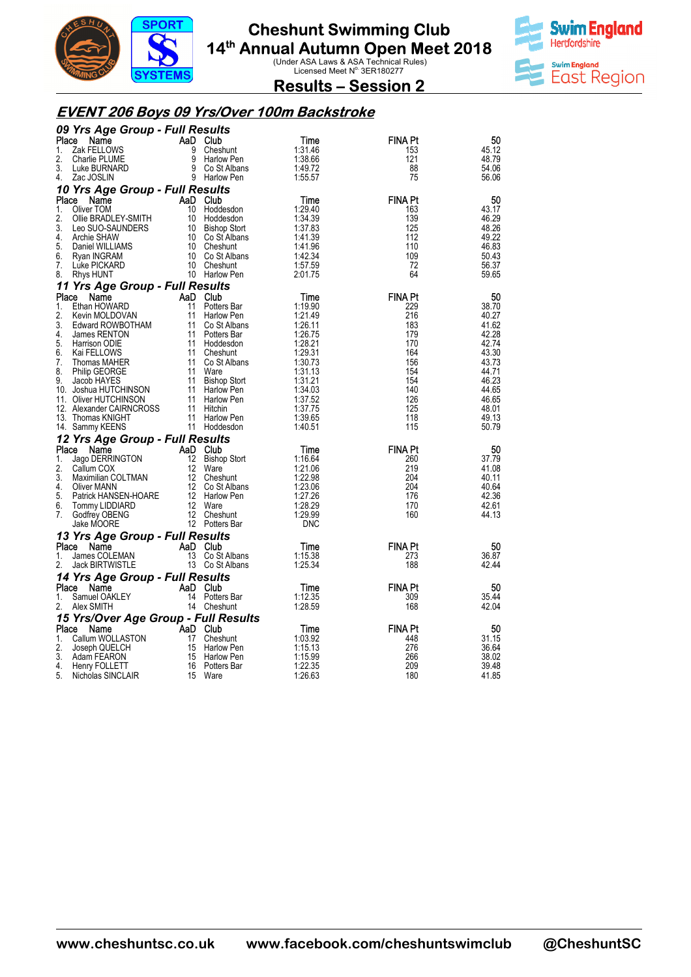



**Results – Session 2** 

#### **EVENT 206 Boys 09 Yrs/Over 100m Backstroke**

| 09 Yrs Age Group - Full Results                  |    |                                |                    |                       |                |
|--------------------------------------------------|----|--------------------------------|--------------------|-----------------------|----------------|
| Place<br>Name                                    |    | AaD Club                       | Time               | <b>FINA Pt</b>        | 50             |
| Zak FELLOWS<br>1.                                |    | 9 Cheshunt                     | 1:31.46            | 153                   | 45.12          |
| 2.<br>Charlie PLUME                              |    | 9 Harlow Pen                   | 1:38.66            | 121                   | 48.79          |
| 3.<br>Luke BURNARD                               |    | 9 Co St Albans                 | 1:49.72            | 88                    | 54.06          |
| 4.<br>Zac JOSLIN                                 |    | 9 Harlow Pen                   | 1:55.57            | 75                    | 56.06          |
| 10 Yrs Age Group - Full Results                  |    |                                |                    |                       |                |
| Place<br>Name<br>1.<br>Oliver TOM                |    | AaD Club                       | Time<br>1:29.40    | <b>FINA Pt</b><br>163 | 50<br>43.17    |
| 2.<br>Ollie BRADLEY-SMITH                        |    | 10 Hoddesdon<br>10 Hoddesdon   | 1:34.39            | 139                   | 46.29          |
| 3.<br>Leo SUO-SAUNDERS                           |    | 10 Bishop Stort                | 1:37.83            | 125                   | 48.26          |
| 4.<br>Archie SHAW                                |    | 10 Co St Albans                | 1:41.39            | 112                   | 49.22          |
| 5.<br>Daniel WILLIAMS                            |    | 10 Cheshunt                    | 1:41.96            | 110                   | 46.83          |
| 6.<br>Ryan INGRAM                                |    | 10 Co St Albans                | 1:42.34            | 109                   | 50.43          |
| 7.<br>Luke PICKARD                               |    | 10 Cheshunt                    | 1:57.59            | 72                    | 56.37          |
| 8.<br>Rhys HUNT                                  |    | 10 Harlow Pen                  | 2:01.75            | 64                    | 59.65          |
| 11 Yrs Age Group - Full Results                  |    |                                |                    |                       |                |
| Place<br>Name                                    |    | AaD Club                       | Time               | <b>FINA Pt</b>        | 50             |
| Ethan HOWARD<br>1.                               | 11 | Potters Bar                    | 1:19.90            | 229                   | 38.70          |
| 2.<br>Kevin MOLDOVAN                             | 11 | Harlow Pen                     | 1:21.49            | 216                   | 40.27          |
| 3.<br>Edward ROWBOTHAM<br>4.                     | 11 | Co St Albans                   | 1:26.11<br>1:26.75 | 183<br>179            | 41.62<br>42.28 |
| James RENTON<br>5.<br>Harrison ODIE              |    | 11 Potters Bar<br>11 Hoddesdon | 1:28.21            | 170                   | 42.74          |
| 6.<br>Kai FELLOWS                                |    | 11 Cheshunt                    | 1:29.31            | 164                   | 43.30          |
| 7.<br>Thomas MAHER                               |    | 11 Co St Albans                | 1:30.73            | 156                   | 43.73          |
| 8.<br>Philip GEORGE                              | 11 | Ware                           | 1:31.13            | 154                   | 44.71          |
| 9.<br>Jacob HAYES                                | 11 | <b>Bishop Stort</b>            | 1:31.21            | 154                   | 46.23          |
| 10. Joshua HUTCHINSON                            |    | 11 Harlow Pen                  | 1:34.03            | 140                   | 44.65          |
| 11. Oliver HUTCHINSON                            |    | 11 Harlow Pen                  | 1:37.52            | 126                   | 46.65          |
| 12. Alexander CAIRNCROSS                         |    | 11 Hitchin                     | 1:37.75            | 125                   | 48.01          |
| 13. Thomas KNIGHT<br>14. Sammy KEENS             |    | 11 Harlow Pen<br>11 Hoddesdon  | 1:39.65<br>1:40.51 | 118<br>115            | 49.13<br>50.79 |
|                                                  |    |                                |                    |                       |                |
| 12 Yrs Age Group - Full Results<br>Place<br>Name |    | AaD Club                       |                    | <b>FINA Pt</b>        | 50             |
| 1.<br>Jago DERRINGTON                            | 12 | <b>Bishop Stort</b>            | Time<br>1:16.64    | 260                   | 37.79          |
| 2.<br>Callum COX                                 | 12 | Ware                           | 1:21.06            | 219                   | 41.08          |
| 3.<br>Maximilian COLTMAN                         |    | 12 Cheshunt                    | 1:22.98            | 204                   | 40.11          |
| 4.<br>Oliver MANN                                |    | 12 Co St Albans                | 1:23.06            | 204                   | 40.64          |
| 5.<br>Patrick HANSEN-HOARE                       |    | 12 Harlow Pen                  | 1:27.26            | 176                   | 42.36          |
| 6.<br>Tommy LIDDIARD                             |    | 12 Ware                        | 1:28.29            | 170                   | 42.61          |
| 7.<br>Godfrey OBENG                              |    | 12 Cheshunt                    | 1:29.99            | 160                   | 44.13          |
| Jake MOORE                                       |    | 12 Potters Bar                 | <b>DNC</b>         |                       |                |
| 13 Yrs Age Group - Full Results                  |    |                                |                    |                       |                |
| Place<br>Name<br>1.<br>James COLEMAN             | 13 | AaD Club<br>Co St Albans       | Time<br>1:15.38    | <b>FINA Pt</b><br>273 | 50<br>36.87    |
| 2.<br>Jack BIRTWISTLE                            |    | 13 Co St Albans                | 1:25.34            | 188                   | 42.44          |
| 14 Yrs Age Group - Full Results                  |    |                                |                    |                       |                |
| Place<br>Name                                    |    | AaD Club                       | Time               | <b>FINA Pt</b>        | 50             |
| Samuel OAKLEY<br>1.                              |    | 14 Potters Bar                 | 1:12.35            | 309                   | 35.44          |
| 2.<br>Alex SMITH                                 |    | 14 Cheshunt                    | 1:28.59            | 168                   | 42.04          |
| 15 Yrs/Over Age Group - Full Results             |    |                                |                    |                       |                |
| Place<br>Name                                    |    | AaD Club                       | Time               | <b>FINA Pt</b>        | 50             |
| Callum WOLLASTON<br>1.                           | 17 | Cheshunt                       | 1:03.92            | 448                   | 31.15          |
| 2.<br>Joseph QUELCH                              | 15 | Harlow Pen                     | 1:15.13            | 276                   | 36.64          |
| 3.<br>Adam FEARON                                |    | 15 Harlow Pen                  | 1:15.99            | 266                   | 38.02          |
| 4.<br>Henry FOLLETT<br>5.<br>Nicholas SINCLAIR   | 16 | Potters Bar<br>15 Ware         | 1:22.35<br>1:26.63 | 209<br>180            | 39.48<br>41.85 |
|                                                  |    |                                |                    |                       |                |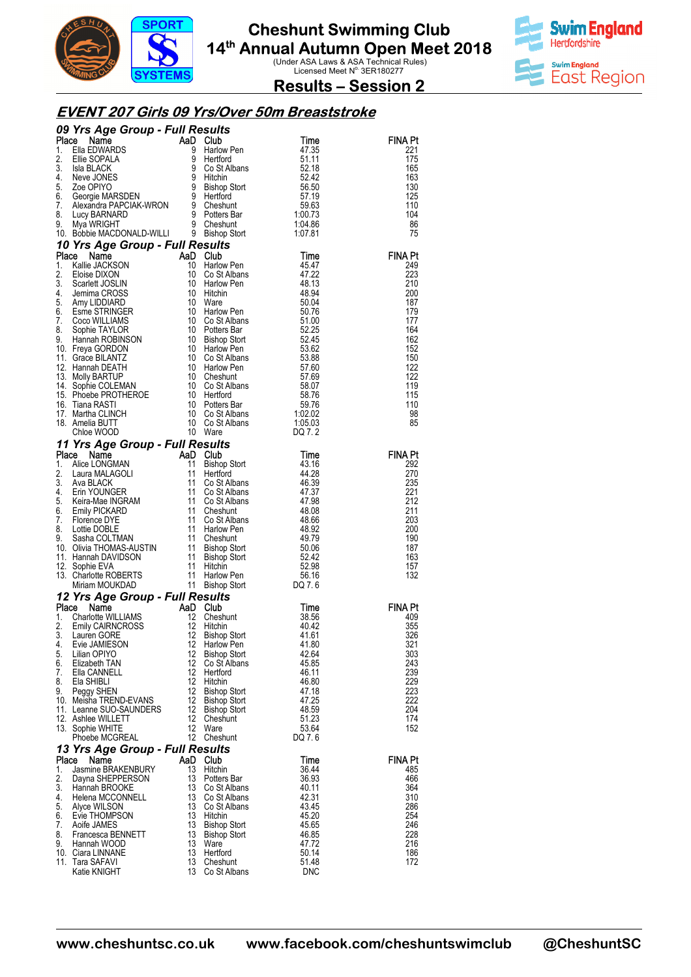



**Results – Session 2** 

#### **EVENT 207 Girls 09 Yrs/Over 50m Breaststroke**

|             | <b>09 Yrs Age Group - Full Results<br/> Place Name AaD Club Time<br/> 1. Ellie SOPALA 9 Harlow Pen<br/> 1. Ellie SOPALA 9 Co St Albans<br/> 4. Neve JONES 9 Hitchin<br/> 5. Zoe OPIYO 9 Bishop Stort 55.42<br/> 5. Zoe OPIYO 9 Hitchin<br/> 7. Alexandra PAP</b>                   |                   |                                            |                |                       |
|-------------|------------------------------------------------------------------------------------------------------------------------------------------------------------------------------------------------------------------------------------------------------------------------------------|-------------------|--------------------------------------------|----------------|-----------------------|
|             |                                                                                                                                                                                                                                                                                    |                   |                                            |                | <b>FINA Pt</b>        |
|             |                                                                                                                                                                                                                                                                                    |                   |                                            |                | 221<br>175            |
|             |                                                                                                                                                                                                                                                                                    |                   |                                            |                | 165                   |
|             |                                                                                                                                                                                                                                                                                    |                   |                                            |                | 163                   |
|             |                                                                                                                                                                                                                                                                                    |                   |                                            |                | 130                   |
|             |                                                                                                                                                                                                                                                                                    |                   |                                            |                | 125<br>110            |
|             |                                                                                                                                                                                                                                                                                    |                   |                                            |                | 104                   |
|             |                                                                                                                                                                                                                                                                                    |                   |                                            |                | 86                    |
|             |                                                                                                                                                                                                                                                                                    |                   |                                            |                | 75                    |
|             | 10 Yrs Age Group - Full Results<br><b>10 Yrs Age Group - Full Results</b><br>1. Kallie JACKSON 10 Harlow Pen 45.47<br>2. Eloise DIXON 10 Co St Albans<br>4. Jemima CROSS 10 Harlow Pen 48.13<br>4. Jemima CROSS 10 Hitchin 48.94<br>5. Amy LIDDIARD 10 Ware 50.076<br>6. Esme STRI |                   |                                            |                |                       |
|             |                                                                                                                                                                                                                                                                                    |                   |                                            |                | <b>FINA Pt</b>        |
|             |                                                                                                                                                                                                                                                                                    |                   |                                            |                | 249<br>223            |
|             |                                                                                                                                                                                                                                                                                    |                   |                                            |                | 210                   |
|             |                                                                                                                                                                                                                                                                                    |                   |                                            |                | 200                   |
|             |                                                                                                                                                                                                                                                                                    |                   |                                            |                | 187                   |
|             |                                                                                                                                                                                                                                                                                    |                   |                                            |                | 179<br>177            |
|             |                                                                                                                                                                                                                                                                                    |                   |                                            |                | 164                   |
|             |                                                                                                                                                                                                                                                                                    |                   |                                            |                | 162                   |
|             |                                                                                                                                                                                                                                                                                    |                   |                                            |                | 152                   |
|             |                                                                                                                                                                                                                                                                                    |                   |                                            |                | 150                   |
|             |                                                                                                                                                                                                                                                                                    |                   |                                            |                | 122<br>122            |
|             |                                                                                                                                                                                                                                                                                    |                   |                                            |                | 119                   |
|             |                                                                                                                                                                                                                                                                                    |                   |                                            |                | 115                   |
|             |                                                                                                                                                                                                                                                                                    |                   |                                            |                | 110                   |
|             |                                                                                                                                                                                                                                                                                    |                   |                                            |                | 98<br>85              |
|             |                                                                                                                                                                                                                                                                                    |                   |                                            |                |                       |
|             | 11 Yrs Age Group - Full Results                                                                                                                                                                                                                                                    |                   |                                            |                |                       |
|             | 11 Yrs Age Group - Full Results<br>1. Alice LONGMAN<br>2. Laura MALAGOLI<br>2. Laura MALAGOLI<br>11 Bishop Stort<br>11 Bishop Stort<br>43.16<br>2. Laura MALAGOLI<br>11 Hertford<br>11 Co St Albans<br>46.39<br>46.39<br>46.39<br>46.39<br>46.39<br>5. Keira                       |                   |                                            |                | <b>FINA Pt</b>        |
|             |                                                                                                                                                                                                                                                                                    |                   |                                            |                | 292                   |
|             |                                                                                                                                                                                                                                                                                    |                   |                                            |                | 270                   |
|             |                                                                                                                                                                                                                                                                                    |                   |                                            |                | 235<br>221            |
|             |                                                                                                                                                                                                                                                                                    |                   |                                            |                | 212                   |
|             |                                                                                                                                                                                                                                                                                    |                   |                                            |                | 211                   |
|             |                                                                                                                                                                                                                                                                                    |                   |                                            |                | 203                   |
|             |                                                                                                                                                                                                                                                                                    |                   |                                            |                | 200<br>190            |
|             |                                                                                                                                                                                                                                                                                    |                   |                                            |                | 187                   |
|             |                                                                                                                                                                                                                                                                                    |                   |                                            |                | 163                   |
|             |                                                                                                                                                                                                                                                                                    |                   |                                            |                | 157                   |
|             |                                                                                                                                                                                                                                                                                    |                   |                                            |                | 132                   |
|             | 12 Yrs Age Group - Full Results                                                                                                                                                                                                                                                    |                   |                                            |                |                       |
| Place       |                                                                                                                                                                                                                                                                                    |                   | $\frac{\text{SUT}}{\text{Cheshunt}}$       | Time           | <b>FINA Pt</b>        |
| 1.          | <b>Ce Name</b><br>Charlotte WILLIAMS<br>Emily CAIRNCROSS<br>Lauren GORE<br>Evie JAMIESON<br>Five JAMIESON<br>2 Bishop                                                                                                                                                              |                   |                                            | 38.56          | 409                   |
| 2.          |                                                                                                                                                                                                                                                                                    |                   |                                            | 40.42          | 355                   |
| 3.          |                                                                                                                                                                                                                                                                                    |                   | Bishop Stort<br>Harlow Pon                 | 41.61          | 326                   |
| 4.<br>5.    | Evie JAMIESON<br>Lilian OPIYO                                                                                                                                                                                                                                                      | 12                | 12 Harlow Pen<br><b>Bishop Stort</b>       | 41.80<br>42.64 | 321<br>303            |
| 6.          | Elizabeth TAN                                                                                                                                                                                                                                                                      | 12                | Co St Albans                               | 45.85          | 243                   |
| 7.          | Ella CANNELL                                                                                                                                                                                                                                                                       | $12 \overline{ }$ | Hertford                                   | 46.11          | 239                   |
| 8.          | Ela SHIBLI                                                                                                                                                                                                                                                                         | 12                | Hitchin                                    | 46.80          | 229                   |
| 9.          | Peggy SHEN<br>10. Meisha TREND-EVANS                                                                                                                                                                                                                                               | 12<br>12          | <b>Bishop Stort</b><br><b>Bishop Stort</b> | 47.18<br>47.25 | 223<br>222            |
|             | 11. Leanne SUO-SAUNDERS                                                                                                                                                                                                                                                            | 12                | <b>Bishop Stort</b>                        | 48.59          | 204                   |
|             | 12. Ashlee WILLETT                                                                                                                                                                                                                                                                 | 12                | Cheshunt                                   | 51.23          | 174                   |
|             | 13. Sophie WHITE                                                                                                                                                                                                                                                                   | 12                | Ware                                       | 53.64          | 152                   |
|             | Phoebe MCGREAL                                                                                                                                                                                                                                                                     | 12                | Cheshunt                                   | DQ 7.6         |                       |
|             | 13 Yrs Age Group - Full Results                                                                                                                                                                                                                                                    |                   |                                            |                |                       |
| Place<br>1. | Name<br>Jasmine BRAKENBURY                                                                                                                                                                                                                                                         | AaD Club<br>13    | Hitchin                                    | Time<br>36.44  | <b>FINA Pt</b><br>485 |
| 2.          | Dayna SHEPPERSON                                                                                                                                                                                                                                                                   | 13                | Potters Bar                                | 36.93          | 466                   |
| 3.          | Hannah BROOKE                                                                                                                                                                                                                                                                      | 13                | Co St Albans                               | 40.11          | 364                   |
| 4.          | Helena MCCONNELL                                                                                                                                                                                                                                                                   | 13                | Co St Albans                               | 42.31          | 310                   |
| 5.<br>6.    | Alyce WILSON<br>Evie THOMPSON                                                                                                                                                                                                                                                      | 13<br>13          | Co St Albans<br>Hitchin                    | 43.45<br>45.20 | 286<br>254            |
| 7.          | Aoife JAMES                                                                                                                                                                                                                                                                        | 13                | <b>Bishop Stort</b>                        | 45.65          | 246                   |
| 8.          | Francesca BENNETT                                                                                                                                                                                                                                                                  | 13                | Bishop Stort                               | 46.85          | 228                   |
| 9.          | Hannah WOOD                                                                                                                                                                                                                                                                        | 13                | Ware                                       | 47.72          | 216                   |
|             | 10. Ciara LINNANE<br>11. Tara SAFAVI                                                                                                                                                                                                                                               | 13<br>13          | Hertford<br>Cheshunt                       | 50.14<br>51.48 | 186<br>172            |
|             | Katie KNIGHT                                                                                                                                                                                                                                                                       | 13                | Co St Albans                               | <b>DNC</b>     |                       |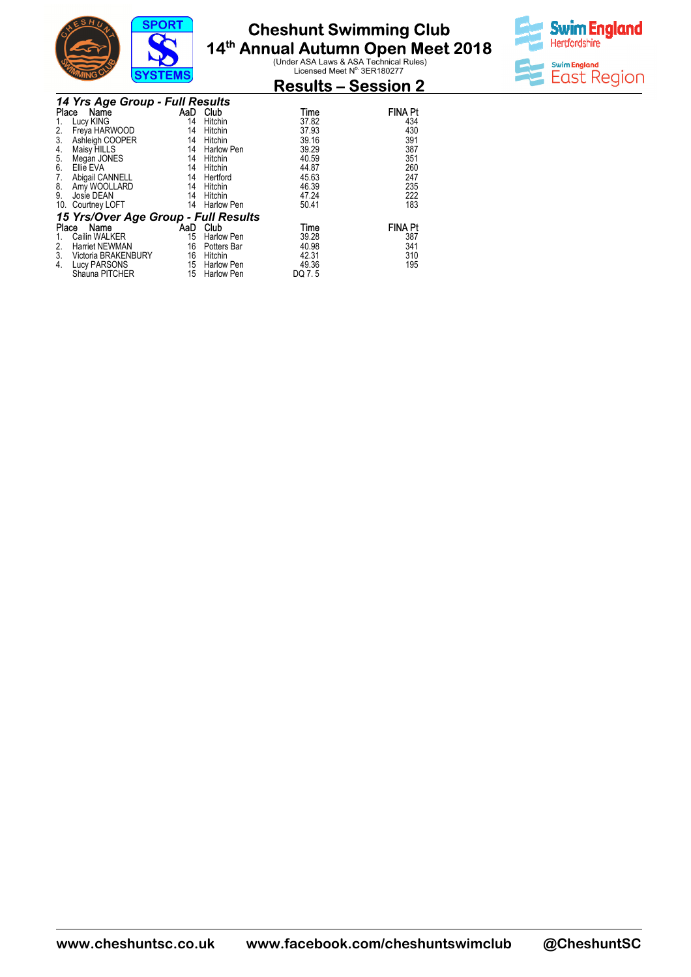



### **Results – Session 2**

|       | 14 Yrs Age Group - Full Results      |     |                   |        |                |  |  |  |  |
|-------|--------------------------------------|-----|-------------------|--------|----------------|--|--|--|--|
| Place | Name                                 | AaD | Club              | Time   | <b>FINA Pt</b> |  |  |  |  |
|       | Lucy KING                            | 14  | Hitchin           | 37.82  | 434            |  |  |  |  |
| 2.    | Freya HARWOOD                        | 14  | Hitchin           | 37.93  | 430            |  |  |  |  |
| 3.    | Ashleigh COOPER                      | 14  | Hitchin           | 39.16  | 391            |  |  |  |  |
| 4.    | Maisy HILLS                          | 14  | <b>Harlow Pen</b> | 39.29  | 387            |  |  |  |  |
| 5.    | Megan JONES                          | 14  | Hitchin           | 40.59  | 351            |  |  |  |  |
| 6.    | Ellie EVA                            | 14  | Hitchin           | 44.87  | 260            |  |  |  |  |
| 7.    | Abigail CANNELL                      | 14  | Hertford          | 45.63  | 247            |  |  |  |  |
| 8.    | Amy WOOLLARD                         | 14  | Hitchin           | 46.39  | 235            |  |  |  |  |
| 9.    | Josie DEAN                           | 14  | Hitchin           | 47.24  | 222            |  |  |  |  |
| 10.   | Courtney LOFT                        | 14  | <b>Harlow Pen</b> | 50.41  | 183            |  |  |  |  |
|       | 15 Yrs/Over Age Group - Full Results |     |                   |        |                |  |  |  |  |
| Place | Name                                 | AaD | Club              | Time   | <b>FINA Pt</b> |  |  |  |  |
|       | Cailin WALKER                        | 15  | <b>Harlow Pen</b> | 39.28  | 387            |  |  |  |  |
| 2.    | <b>Harriet NEWMAN</b>                | 16  | Potters Bar       | 40.98  | 341            |  |  |  |  |
| 3.    | Victoria BRAKENBURY                  | 16  | Hitchin           | 42.31  | 310            |  |  |  |  |
| 4.    | Lucy PARSONS                         | 15  | Harlow Pen        | 49.36  | 195            |  |  |  |  |
|       | Shauna PITCHER                       | 15  | <b>Harlow Pen</b> | DQ 7.5 |                |  |  |  |  |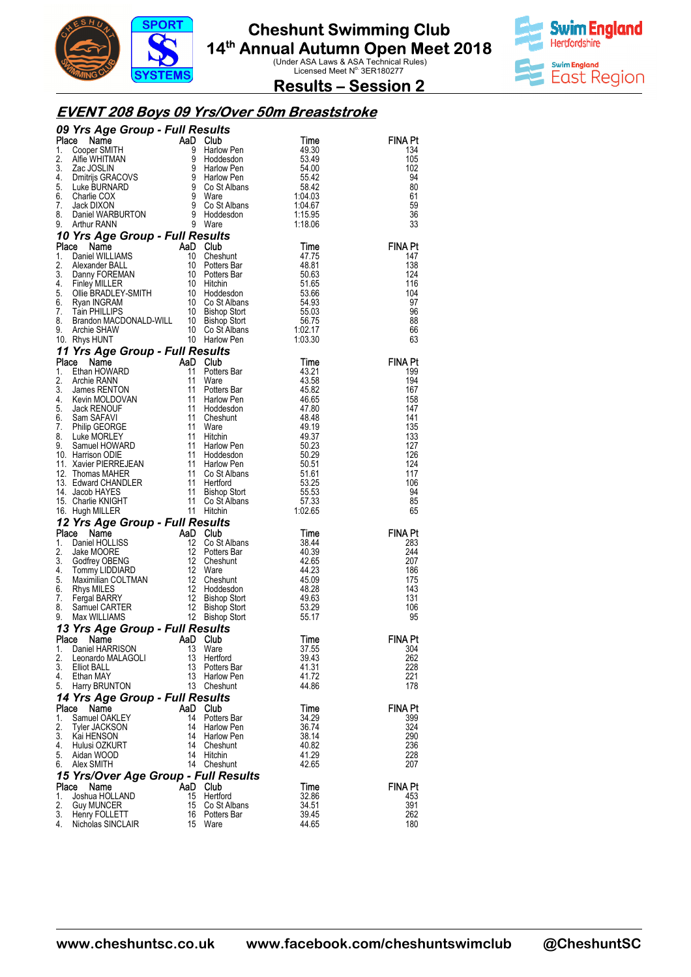

**Swim England** Hertfordshire **Swim England** East Region

**Results – Session 2** 

### **EVENT 208 Boys 09 Yrs/Over 50m Breaststroke**

|          | 09 Yrs Age Group - Full Results                                                                                                                                                                                                                                                   |          |                                                                                   |                                        |                |
|----------|-----------------------------------------------------------------------------------------------------------------------------------------------------------------------------------------------------------------------------------------------------------------------------------|----------|-----------------------------------------------------------------------------------|----------------------------------------|----------------|
| Place    | <b>FIS Age Group - FUII RESUITS<br/> Cooper SMITH And Club<br/> Cooper SMITH 9 Harlow Pen<br/> Zac JOSLIN 9 Harlow Pen<br/> Dmitrijs GRACOVS 9 Harlow Pen<br/> Dmitrijs GRACOVS 9 Harlow Pen<br/> Charle BURNARD 9 Co St Albans<br/> Charle COX 9 Ware<br/> Jack</b>              |          |                                                                                   | Time                                   | FINA Pt        |
| 1.       |                                                                                                                                                                                                                                                                                   |          |                                                                                   | 49.30                                  | 134            |
| 2.<br>3. |                                                                                                                                                                                                                                                                                   |          |                                                                                   | 53.49<br>54.00                         | 105<br>102     |
| 4.       |                                                                                                                                                                                                                                                                                   |          |                                                                                   | 55.42                                  | 94             |
| 5.       |                                                                                                                                                                                                                                                                                   |          |                                                                                   | -58.42                                 | 80             |
| 6.       |                                                                                                                                                                                                                                                                                   |          |                                                                                   | 58.42<br>1:04.03<br>1:04.67<br>1:15.95 | 61             |
| 7.       |                                                                                                                                                                                                                                                                                   |          |                                                                                   |                                        | 59             |
| 8.       |                                                                                                                                                                                                                                                                                   |          |                                                                                   | 1:15.95                                | 36             |
| 9.       |                                                                                                                                                                                                                                                                                   |          |                                                                                   | 1:18.06                                | 33             |
|          | <b>10 Yrs Age Group - Full Results<br/>Place Name AaD Club<br/>1. Daniel WILLIAMS 10 Cheshunt</b>                                                                                                                                                                                 |          |                                                                                   |                                        |                |
|          |                                                                                                                                                                                                                                                                                   |          |                                                                                   | Time                                   | <b>FINA Pt</b> |
|          |                                                                                                                                                                                                                                                                                   |          |                                                                                   | 47.75                                  | 147            |
| 2.<br>3. |                                                                                                                                                                                                                                                                                   |          |                                                                                   | 48.81                                  | 138            |
| 4.       |                                                                                                                                                                                                                                                                                   |          |                                                                                   | 50.63<br>51.65                         | 124<br>116     |
| 5.       |                                                                                                                                                                                                                                                                                   |          |                                                                                   | 53.66                                  | 104            |
| 6.       |                                                                                                                                                                                                                                                                                   |          |                                                                                   |                                        | 97             |
| 7.       |                                                                                                                                                                                                                                                                                   |          |                                                                                   | 54.93<br>55.03<br>56.75<br>1:02.17     | 96             |
| 8.       |                                                                                                                                                                                                                                                                                   |          |                                                                                   |                                        | 88             |
| 9.       |                                                                                                                                                                                                                                                                                   |          |                                                                                   |                                        | 66             |
|          | <b>Yrs Age Group - Full Results<br/> Ce Name (AD Club<br/> Daniel WILLIAMS 10 Cheshunt<br/> Danny FOREMAN 10 Potters Bar<br/> Finley MILLER 10 Hitchin<br/> Club BRADLEY-SMITH 10 Hitchin<br/> Olige BRADLEY-SMITH 10 Co St Albans<br/> Tain PHILLIPS 10 Gis</b><br>10. Rhys HUNT |          |                                                                                   | 1:03.30                                | 63             |
|          | 11 Yrs Age Group - Full Results<br>11 Yrs Age Group - Full Results<br>Place Name AaD Club<br>1. Ethan HOWARD 11 Potters Bar<br>3. James RENTON 11 Potters Bar<br>3. James RENTON 11 Ware<br>4. Kevin MOLDOVAN 11 Harlow Pen<br>5. Jack RENOUF 11 Hoddesdon<br>6. Sam SAFAVI 11    |          |                                                                                   |                                        |                |
|          |                                                                                                                                                                                                                                                                                   |          |                                                                                   | Time                                   | <b>FINA Pt</b> |
|          |                                                                                                                                                                                                                                                                                   |          | Potters Bar                                                                       | 43.21                                  | 199            |
|          |                                                                                                                                                                                                                                                                                   |          |                                                                                   | 43.58<br>45.82                         | 194<br>167     |
|          |                                                                                                                                                                                                                                                                                   |          |                                                                                   | 46.65                                  | 158            |
|          |                                                                                                                                                                                                                                                                                   |          |                                                                                   | 47.80                                  | 147            |
|          |                                                                                                                                                                                                                                                                                   |          |                                                                                   | 48.48                                  | 141            |
|          |                                                                                                                                                                                                                                                                                   |          |                                                                                   | 49.19                                  | 135            |
|          |                                                                                                                                                                                                                                                                                   |          |                                                                                   | 49.37                                  | 133            |
|          |                                                                                                                                                                                                                                                                                   |          |                                                                                   | 50.23                                  | 127            |
|          |                                                                                                                                                                                                                                                                                   |          |                                                                                   | 50.29                                  | 126<br>124     |
|          |                                                                                                                                                                                                                                                                                   |          |                                                                                   | 50.51<br>51.61                         | 117            |
|          |                                                                                                                                                                                                                                                                                   |          |                                                                                   | 53.25                                  | 106            |
|          |                                                                                                                                                                                                                                                                                   |          |                                                                                   | 55.53                                  | 94             |
|          |                                                                                                                                                                                                                                                                                   |          |                                                                                   | 57.33                                  | 85             |
|          |                                                                                                                                                                                                                                                                                   |          | Harlow Pen<br>Co St Albans<br>Hertford<br>Bishop Stort<br>Co St Albans<br>''"Ahin | 1:02.65                                | 65             |
|          | 12 Yrs Age Group - Full Results                                                                                                                                                                                                                                                   |          |                                                                                   |                                        |                |
| Place    | <b>Yrs Age Group - Full Results<br/> Cannel HOLLISS And Cubins Jake MOORE 12 Cost Albans<br/> Daniel HOLLISS 12 Cost Albans<br/> Godfrey OBENG 12 Cheshunt<br/> Maximilian COLTMAN 12 Cheshunt<br/> Maximilian COLTMAN 12 Cheshunt<br/> Rhys MILLES 12 H</b>                      |          |                                                                                   | Time                                   | <b>FINA Pt</b> |
| 1.       |                                                                                                                                                                                                                                                                                   |          | Co St Albans                                                                      | 38.44                                  | 283            |
| 2.       |                                                                                                                                                                                                                                                                                   |          |                                                                                   | 40.39                                  | 244            |
| 3.<br>4. |                                                                                                                                                                                                                                                                                   |          |                                                                                   | 42.65<br>44.23                         | 207<br>186     |
| 5.       |                                                                                                                                                                                                                                                                                   |          |                                                                                   | 45.09                                  | 175            |
| 6.       |                                                                                                                                                                                                                                                                                   |          |                                                                                   | 48.28                                  | 143            |
| 7.       |                                                                                                                                                                                                                                                                                   |          |                                                                                   | 49.63                                  | 131            |
| 8.       |                                                                                                                                                                                                                                                                                   |          |                                                                                   | 53.29                                  | 106            |
| 9.       |                                                                                                                                                                                                                                                                                   |          |                                                                                   | 55.17                                  | 95             |
|          | 13 Yrs Age Group - Full Results                                                                                                                                                                                                                                                   |          |                                                                                   |                                        |                |
| Place    | Name                                                                                                                                                                                                                                                                              | AaD      | Club                                                                              | Time                                   | <b>FINA Pt</b> |
| 1.       | Daniel HARRISON                                                                                                                                                                                                                                                                   | 13       | Ware                                                                              | 37.55                                  | 304            |
| 2.       | Leonardo MALAGOLI                                                                                                                                                                                                                                                                 | 13       | Hertford                                                                          | 39.43                                  | 262            |
| 3.<br>4. | <b>Elliot BALL</b><br>Ethan MAY                                                                                                                                                                                                                                                   | 13<br>13 | Potters Bar<br>Harlow Pen                                                         | 41.31<br>41.72                         | 228<br>221     |
| 5.       | Harry BRUNTON                                                                                                                                                                                                                                                                     | 13       | Cheshunt                                                                          | 44.86                                  | 178            |
|          | 14 Yrs Age Group - Full Results                                                                                                                                                                                                                                                   |          |                                                                                   |                                        |                |
| Place    | Name                                                                                                                                                                                                                                                                              | AaD      | Club                                                                              | Time                                   | <b>FINA Pt</b> |
| 1.       | Samuel OAKLEY                                                                                                                                                                                                                                                                     | 14       | Potters Bar                                                                       | 34.29                                  | 399            |
| 2.       | Tyler JACKSON                                                                                                                                                                                                                                                                     | 14       | Harlow Pen                                                                        | 36.74                                  | 324            |
| 3.       | Kai HENSON                                                                                                                                                                                                                                                                        | 14       | <b>Harlow Pen</b>                                                                 | 38.14                                  | 290            |
| 4.       | Hulusi OZKURT                                                                                                                                                                                                                                                                     | 14       | Cheshunt                                                                          | 40.82                                  | 236            |
| 5.       | Aidan WOOD                                                                                                                                                                                                                                                                        | 14       | Hitchin                                                                           | 41.29                                  | 228            |
| 6.       | Alex SMITH                                                                                                                                                                                                                                                                        | 14       | Cheshunt                                                                          | 42.65                                  | 207            |
|          | 15 Yrs/Over Age Group - Full Results                                                                                                                                                                                                                                              |          |                                                                                   |                                        |                |
| Place    | Name                                                                                                                                                                                                                                                                              | AaD      | Club                                                                              | Time                                   | FINA Pt        |
| 1.       | Joshua HOLLAND                                                                                                                                                                                                                                                                    | 15       | Hertford                                                                          | 32.86                                  | 453            |
| 2.<br>3. | <b>Guy MUNCER</b>                                                                                                                                                                                                                                                                 | 15<br>16 | Co St Albans<br>Potters Bar                                                       | 34.51<br>39.45                         | 391<br>262     |
| 4.       | Henry FOLLETT<br>Nicholas SINCLAIR                                                                                                                                                                                                                                                | 15       | Ware                                                                              | 44.65                                  | 180            |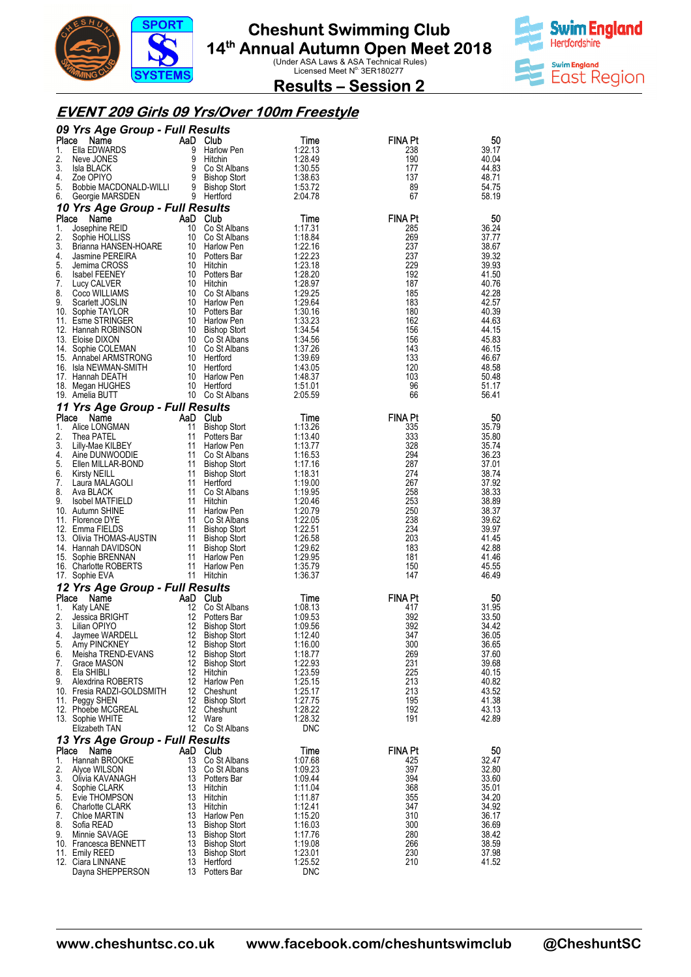



**Results – Session 2** 

### **EVENT 209 Girls 09 Yrs/Over 100m Freestyle**

|             | 09 Yrs Age Group - Full Results                |                |                                            |                       |                       |                |
|-------------|------------------------------------------------|----------------|--------------------------------------------|-----------------------|-----------------------|----------------|
| Place<br>1. | Name<br>Ella EDWARDS                           | AaD Club<br>9  | Harlow Pen                                 | Time<br>1:22.13       | <b>FINA Pt</b><br>238 | 50<br>39.17    |
| 2.          | Neve JONES                                     | 9              | Hitchin                                    | 1:28.49               | 190                   | 40.04          |
| 3.          | Isla BLACK                                     | 9              | Co St Albans                               | 1:30.55               | 177                   | 44.83          |
| 4.          | Zoe OPIYO                                      | 9              | <b>Bishop Stort</b>                        | 1:38.63               | 137                   | 48.71          |
| 5.          | Bobbie MACDONALD-WILLI                         |                | 9 Bishop Stort                             | 1:53.72               | 89                    | 54.75          |
| 6.          | Georgie MARSDEN                                |                | 9 Hertford                                 | 2:04.78               | 67                    | 58.19          |
| Place       | 10 Yrs Age Group - Full Results<br>Name        | AaD Club       |                                            | Time                  | <b>FINA Pt</b>        | 50             |
| 1.          | Josephine REID                                 | 10             | Co St Albans                               | 1:17.31               | 285                   | 36.24          |
| 2.          | Sophie HOLLISS                                 | 10             | Co St Albans                               | 1:18.84               | 269                   | 37.77          |
| 3.          | Brianna HANSEN-HOARE                           | 10             | Harlow Pen                                 | 1:22.16               | 237                   | 38.67          |
| 4.          | Jasmine PEREIRA                                |                | 10 Potters Bar                             | 1:22.23               | 237<br>229            | 39.32          |
| 5.<br>6.    | Jemima CROSS<br>Isabel FEENEY                  |                | 10 Hitchin<br>10 Potters Bar               | 1:23.18<br>1:28.20    | 192                   | 39.93<br>41.50 |
| 7.          | Lucy CALVER                                    |                | 10 Hitchin                                 | 1:28.97               | 187                   | 40.76          |
| 8.          | Coco WILLIAMS                                  | 10             | Co St Albans                               | 1:29.25               | 185                   | 42.28          |
| 9.          | Scarlett JOSLIN                                |                | 10 Harlow Pen                              | 1:29.64               | 183                   | 42.57          |
|             | 10. Sophie TAYLOR<br>11. Esme STRINGER         | 10             | 10 Potters Bar<br>Harlow Pen               | 1:30.16<br>1:33.23    | 180<br>162            | 40.39<br>44.63 |
|             | 12. Hannah ROBINSON                            |                | 10 Bishop Stort                            | 1:34.54               | 156                   | 44.15          |
|             | 13. Eloise DIXON                               |                | 10 Co St Albans                            | 1:34.56               | 156                   | 45.83          |
|             | 14. Sophie COLEMAN                             |                | 10 Co St Albans                            | 1:37.26               | 143                   | 46.15          |
|             | 15. Annabel ARMSTRONG<br>16. Isla NEWMAN-SMITH |                | 10 Hertford<br>10 Hertford                 | 1:39.69<br>1:43.05    | 133<br>120            | 46.67<br>48.58 |
|             | 17. Hannah DEATH                               |                | 10 Harlow Pen                              | 1:48.37               | 103                   | 50.48          |
|             | 18. Megan HUGHES                               |                | 10 Hertford                                | 1:51.01               | 96                    | 51.17          |
|             | 19. Amelia BUTT                                |                | 10 Co St Albans                            | 2:05.59               | 66                    | 56.41          |
|             | 11 Yrs Age Group - Full Results                |                |                                            |                       |                       |                |
| Place<br>1. | Name<br>Alice LONGMAN                          | AaD Club<br>11 |                                            | Time<br>1:13.26       | <b>FINA Pt</b><br>335 | 50<br>35.79    |
| 2.          | Thea PATEL                                     | 11             | <b>Bishop Stort</b><br>Potters Bar         | 1:13.40               | 333                   | 35.80          |
| 3.          | Lilly-Mae KILBEY                               | 11             | Harlow Pen                                 | 1:13.77               | 328                   | 35.74          |
| 4.          | Aine DUNWOODIE                                 |                | 11 Co St Albans                            | 1:16.53               | 294                   | 36.23          |
| 5.<br>6.    | Ellen MILLAR-BOND<br><b>Kirsty NEILL</b>       | 11<br>11       | <b>Bishop Stort</b>                        | 1:17.16<br>1:18.31    | 287<br>274            | 37.01<br>38.74 |
| 7.          | Laura MALAGOLI                                 | 11             | <b>Bishop Stort</b><br>Hertford            | 1:19.00               | 267                   | 37.92          |
| 8.          | Ava BLACK                                      | 11             | Co St Albans                               | 1:19.95               | 258                   | 38.33          |
| 9.          | Isobel MATFIELD                                | 11             | Hitchin                                    | 1:20.46               | 253                   | 38.89          |
|             | 10. Autumn SHINE                               | 11             | Harlow Pen                                 | 1:20.79               | 250                   | 38.37          |
|             | 11. Florence DYE<br>12. Emma FIELDS            | 11<br>11       | Co St Albans<br><b>Bishop Stort</b>        | 1:22.05<br>1:22.51    | 238<br>234            | 39.62<br>39.97 |
|             | 13. Olivia THOMAS-AUSTIN                       | 11             | <b>Bishop Stort</b>                        | 1:26.58               | 203                   | 41.45          |
|             | 14. Hannah DAVIDSON                            | 11             | <b>Bishop Stort</b>                        | 1:29.62               | 183                   | 42.88          |
| 15.         | Sophie BRENNAN                                 | 11             | Harlow Pen                                 | 1:29.95               | 181                   | 41.46          |
|             | 16. Charlotte ROBERTS<br>17. Sophie EVA        | 11             | Harlow Pen<br>11 Hitchin                   | 1:35.79<br>1:36.37    | 150<br>147            | 45.55<br>46.49 |
|             | 12 Yrs Age Group - Full Results                |                |                                            |                       |                       |                |
| Place       | Name                                           | AaD            | Club                                       | Time                  | <b>FINA Pt</b>        | 50             |
| 1.          | Katy LANE                                      | 12             | Co St Albans                               | 1:08.13               | 417                   | 31.95          |
| 2.          | Jessica BRIGHT                                 | 12             | Potters Bar                                | 1:09.53               | 392                   | 33.50          |
| 3.<br>4.    | Lilian OPIYO<br>Jaymee WARDELL                 | 12<br>12       | <b>Bishop Stort</b><br><b>Bishop Stort</b> | 1:09.56<br>1:12.40    | 392<br>347            | 34.42<br>36.05 |
| 5.          | Amy PINCKNEY                                   | 12             | <b>Bishop Stort</b>                        | 1:16.00               | 300                   | 36.65          |
| 6.          | Meisha TREND-EVANS                             |                | 12 Bishop Stort                            | 1:18.77               | 269                   | 37.60          |
| 7.          | Grace MASON                                    | 12             | <b>Bishop Stort</b>                        | 1:22.93               | 231                   | 39.68          |
| 8.<br>9.    | Ela SHIBLI<br>Alexdrina ROBERTS                | 12             | Hitchin<br>12 Harlow Pen                   | 1:23.59<br>1:25.15    | 225<br>213            | 40.15<br>40.82 |
|             | 10. Fresia RADZI-GOLDSMITH                     |                | 12 Cheshunt                                | 1:25.17               | 213                   | 43.52          |
|             | 11. Peggy SHEN                                 | 12             | <b>Bishop Stort</b>                        | 1:27.75               | 195                   | 41.38          |
|             | 12. Phoebe MCGREAL                             |                | 12 Cheshunt                                | 1:28.22               | 192                   | 43.13          |
|             | 13. Sophie WHITE<br>Elizabeth TAN              |                | 12 Ware<br>12 Co St Albans                 | 1:28.32<br><b>DNC</b> | 191                   | 42.89          |
|             | 13 Yrs Age Group - Full Results                |                |                                            |                       |                       |                |
| Place       | Name                                           | AaD Club       |                                            | Time                  | <b>FINA Pt</b>        | 50             |
| 1.          | Hannah BROOKE                                  | 13             | Co St Albans                               | 1:07.68               | 425                   | 32.47          |
| 2.          | Alyce WILSON                                   | 13             | Co St Albans                               | 1:09.23               | 397                   | 32.80          |
| 3.<br>4.    | Olivia KAVANAGH<br>Sophie CLARK                | 13<br>13       | Potters Bar<br>Hitchin                     | 1:09.44<br>1:11.04    | 394<br>368            | 33.60<br>35.01 |
| 5.          | Evie THOMPSON                                  | 13             | Hitchin                                    | 1:11.87               | 355                   | 34.20          |
| 6.          | <b>Charlotte CLARK</b>                         | 13             | Hitchin                                    | 1:12.41               | 347                   | 34.92          |
| 7.          | Chloe MARTIN                                   | 13             | Harlow Pen                                 | 1:15.20               | 310                   | 36.17          |
| 8.<br>9.    | Sofia READ<br>Minnie SAVAGE                    | 13             | <b>Bishop Stort</b><br>13 Bishop Stort     | 1:16.03<br>1:17.76    | 300<br>280            | 36.69<br>38.42 |
|             | 10. Francesca BENNETT                          | 13             | <b>Bishop Stort</b>                        | 1:19.08               | 266                   | 38.59          |
|             | 11. Emily REED                                 | 13             | <b>Bishop Stort</b>                        | 1:23.01               | 230                   | 37.98          |
|             | 12. Ciara LINNANE<br>Dayna SHEPPERSON          | 13             | 13 Hertford<br>Potters Bar                 | 1:25.52<br><b>DNC</b> | 210                   | 41.52          |
|             |                                                |                |                                            |                       |                       |                |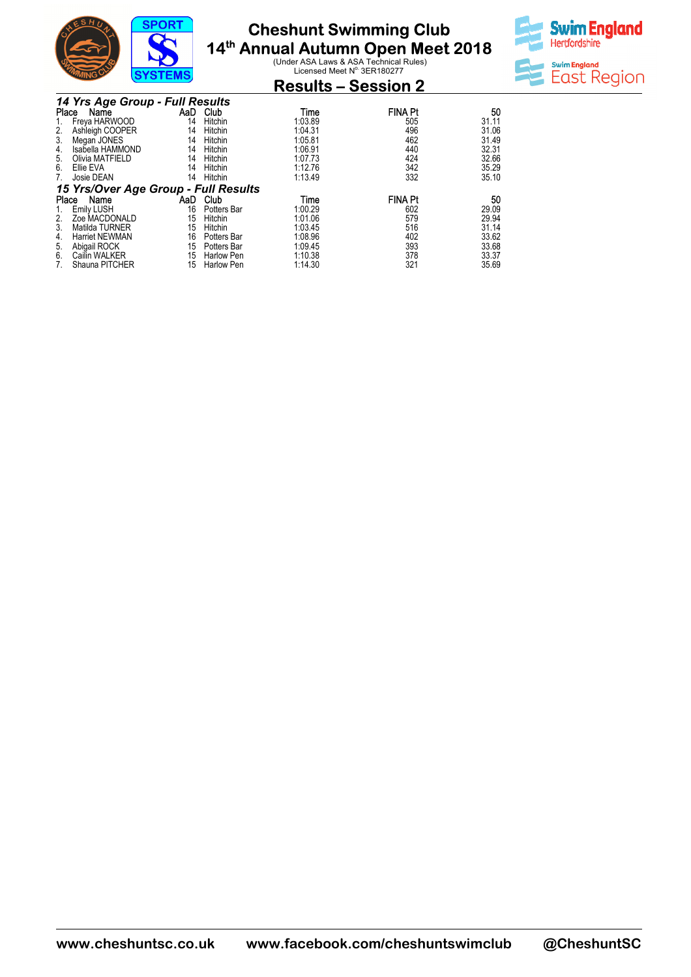

#### **Cheshunt Swimming 14th Annual Autumn Open Meet 2018 Club**

**Ual Autumn Open Meet 2018**<br>Under ASA Laws & ASA Technical Rules)<br>Licensed Meet N<sup>o.</sup> 3ER180277



| ∵‴"™                                 | $0101$ LMO |                   | <b>Results – Session 2</b> |                |       |
|--------------------------------------|------------|-------------------|----------------------------|----------------|-------|
| 14 Yrs Age Group - Full Results      |            |                   |                            |                |       |
| Place<br>Name                        | AaD        | Club              | Time                       | <b>FINA Pt</b> | 50    |
| Freya HARWOOD                        | 14         | Hitchin           | 1:03.89                    | 505            | 31.11 |
| Ashleigh COOPER<br>2.                | 14         | Hitchin           | 1:04.31                    | 496            | 31.06 |
| Megan JONES<br>3.                    | 14         | Hitchin           | 1:05.81                    | 462            | 31.49 |
| Isabella HAMMOND<br>4.               | 14         | Hitchin           | 1:06.91                    | 440            | 32.31 |
| Olivia MATFIELD<br>5.                | 14         | Hitchin           | 1:07.73                    | 424            | 32.66 |
| Ellie EVA<br>6.                      | 14         | Hitchin           | 1:12.76                    | 342            | 35.29 |
| Josie DEAN<br>7.                     | 14         | Hitchin           | 1:13.49                    | 332            | 35.10 |
| 15 Yrs/Over Age Group - Full Results |            |                   |                            |                |       |
| Name<br>Place                        | AaD.       | Club              | Time                       | <b>FINA Pt</b> | 50    |
| <b>Emily LUSH</b>                    | 16         | Potters Bar       | 1:00.29                    | 602            | 29.09 |
| Zoe MACDONALD<br>2.                  | 15         | Hitchin           | 1:01.06                    | 579            | 29.94 |
| Matilda TURNER<br>3.                 | 15         | Hitchin           | 1:03.45                    | 516            | 31.14 |
| <b>Harriet NEWMAN</b><br>4.          | 16         | Potters Bar       | 1:08.96                    | 402            | 33.62 |
| Abigail ROCK<br>5.                   | 15         | Potters Bar       | 1:09.45                    | 393            | 33.68 |
| 6.<br>Cailin WALKER                  | 15         | <b>Harlow Pen</b> | 1:10.38                    | 378            | 33.37 |
| Shauna PITCHER<br>7.                 | 15         | Harlow Pen        | 1:14.30                    | 321            | 35.69 |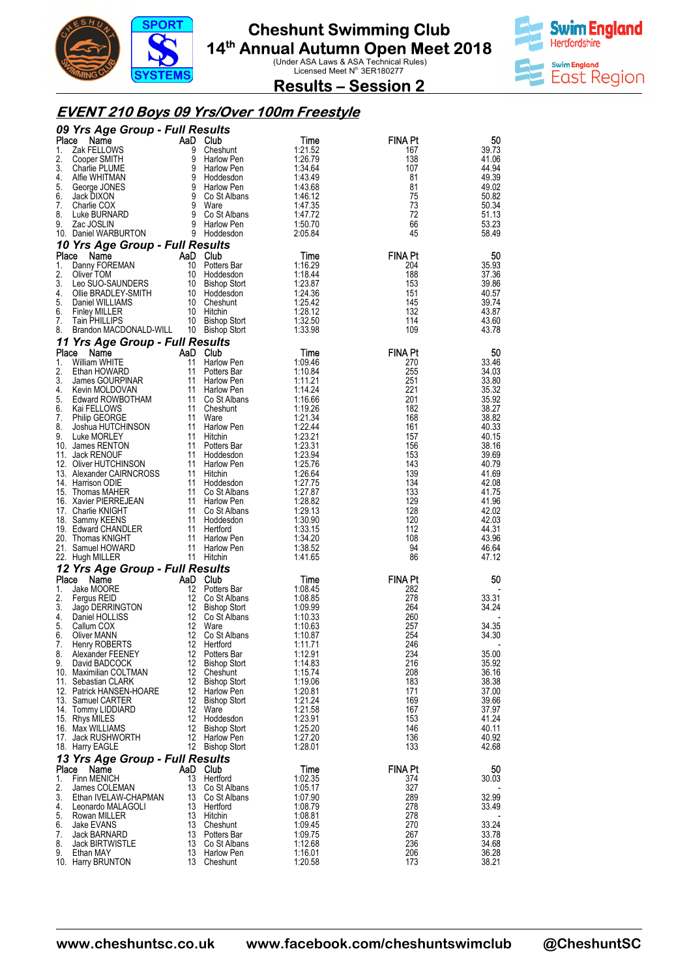



**Results – Session 2** 

### **EVENT 210 Boys 09 Yrs/Over 100m Freestyle**

|          | 09 Yrs Age Group - Full Results           |                |                                    |                    |                       |                |
|----------|-------------------------------------------|----------------|------------------------------------|--------------------|-----------------------|----------------|
| Place    | Name                                      | AaD Club       |                                    | Time               | <b>FINA Pt</b>        | 50             |
| 1.<br>2. | Zak FELLOWS<br>Cooper SMITH               | 9<br>9         | Cheshunt<br>Harlow Pen             | 1:21.52<br>1:26.79 | 167<br>138            | 39.73<br>41.06 |
| 3.       | Charlie PLUME                             | 9              | Harlow Pen                         | 1:34.64            | 107                   | 44.94          |
| 4.       | Alfie WHITMAN                             | 9              | Hoddesdon                          | 1:43.49            | 81                    | 49.39          |
| 5.       | George JONES                              |                | 9 Harlow Pen                       | 1:43.68            | 81                    | 49.02          |
| 6.<br>7. | Jack DIXON                                | 9              | 9 Co St Albans                     | 1:46.12            | 75<br>73              | 50.82<br>50.34 |
| 8.       | Charlie COX<br>Luke BURNARD               |                | Ware<br>9 Co St Albans             | 1:47.35<br>1:47.72 | 72                    | 51.13          |
| 9.       | Zac JOSLIN                                |                | 9 Harlow Pen                       | 1:50.70            | 66                    | 53.23          |
|          | 10. Daniel WARBURTON                      |                | 9 Hoddesdon                        | 2:05.84            | 45                    | 58.49          |
|          | 10 Yrs Age Group - Full Results           |                |                                    |                    |                       |                |
|          | Place Name                                | AaD Club       |                                    | Time               | <b>FINA Pt</b>        | 50             |
| 1.<br>2. | Danny FOREMAN<br>Oliver TOM               |                | 10 Potters Bar<br>10 Hoddesdon     | 1:16.29<br>1:18.44 | 204<br>188            | 35.93<br>37.36 |
| 3.       | Leo SUO-SAUNDERS                          |                | 10 Bishop Stort                    | 1:23.87            | 153                   | 39.86          |
| 4.       | Ollie BRADLEY-SMITH                       |                | 10 Hoddesdon                       | 1:24.36            | 151                   | 40.57          |
| 5.       | Daniel WILLIAMS                           |                | 10 Cheshunt                        | 1:25.42            | 145                   | 39.74          |
| 6.       | <b>Finley MILLER</b>                      |                | 10 Hitchin                         | 1:28.12            | 132                   | 43.87          |
| 7.<br>8. | Tain PHILLIPS<br>Brandon MACDONALD-WILL   |                | 10 Bishop Stort<br>10 Bishop Stort | 1:32.50<br>1:33.98 | 114<br>109            | 43.60<br>43.78 |
|          | 11 Yrs Age Group - Full Results           |                |                                    |                    |                       |                |
| Place    | Name                                      | AaD Club       |                                    | Time               | <b>FINA Pt</b>        | 50             |
| 1.       | William WHITE                             | 11             | Harlow Pen                         | 1:09.46            | 270                   | 33.46          |
| 2.       | Ethan HOWARD                              | 11             | Potters Bar                        | 1:10.84            | 255                   | 34.03          |
| 3.<br>4. | James GOURPINAR                           |                | 11 Harlow Pen                      | 1:11.21            | 251<br>221            | 33.80          |
| 5.       | Kevin MOLDOVAN<br>Edward ROWBOTHAM        |                | 11 Harlow Pen<br>11 Co St Albans   | 1:14.24<br>1:16.66 | 201                   | 35.32<br>35.92 |
| 6.       | Kai FELLOWS                               |                | 11 Cheshunt                        | 1:19.26            | 182                   | 38.27          |
| 7.       | <b>Philip GEORGE</b>                      |                | 11 Ware                            | 1:21.34            | 168                   | 38.82          |
| 8.       | Joshua HUTCHINSON                         |                | 11 Harlow Pen                      | 1:22.44            | 161                   | 40.33          |
| 9.       | Luke MORLEY<br>10. James RENTON           |                | 11 Hitchin<br>11 Potters Bar       | 1:23.21<br>1:23.31 | 157<br>156            | 40.15<br>38.16 |
|          | 11. Jack RENOUF                           |                | 11 Hoddesdon                       | 1:23.94            | 153                   | 39.69          |
|          | 12. Oliver HUTCHINSON                     |                | 11 Harlow Pen                      | 1:25.76            | 143                   | 40.79          |
|          | 13. Alexander CAIRNCROSS                  |                | 11 Hitchin                         | 1:26.64            | 139                   | 41.69          |
|          | 14. Harrison ODIE                         |                | 11 Hoddesdon                       | 1:27.75            | 134                   | 42.08          |
|          | 15. Thomas MAHER<br>16. Xavier PIERREJEAN |                | 11 Co St Albans<br>11 Harlow Pen   | 1:27.87<br>1:28.82 | 133<br>129            | 41.75<br>41.96 |
|          | 17. Charlie KNIGHT                        |                | 11 Co St Albans                    | 1:29.13            | 128                   | 42.02          |
|          | 18. Sammy KEENS                           |                | 11 Hoddesdon                       | 1:30.90            | 120                   | 42.03          |
|          | 19. Edward CHANDLER                       |                | 11 Hertford                        | 1:33.15            | 112                   | 44.31          |
|          | 20. Thomas KNIGHT<br>21. Samuel HOWARD    |                | 11 Harlow Pen<br>11 Harlow Pen     | 1:34.20<br>1:38.52 | 108<br>94             | 43.96<br>46.64 |
|          | 22. Hugh MILLER                           |                | 11 Hitchin                         | 1:41.65            | 86                    | 47.12          |
|          | 12 Yrs Age Group - Full Results           |                |                                    |                    |                       |                |
| Place    | Name                                      | AaD Club       |                                    | Time               | <b>FINA Pt</b>        | 50             |
| 1.       | Jake MOORE                                |                | 12 Potters Bar                     | 1:08.45            | 282                   |                |
| 2.       | Fergus REID                               |                | 12 Co St Albans                    | 1:08.85            | 278                   | 33.31          |
| 3.<br>4. | Jago DERRINGTON<br>Daniel HOLLISS         |                | 12 Bishop Stort<br>12 Co St Albans | 1:09.99<br>1:10.33 | 264<br>260            | 34.24          |
| 5.       | Callum COX                                | 12             | Ware                               | 1:10.63            | 257                   | 34.35          |
| 6.       | Oliver MANN                               | 12             | Co St Albans                       | 1:10.87            | 254                   | 34.30          |
| 7.       | Henry ROBERTS                             |                | 12 Hertford                        | 1:11.71            | 246                   |                |
| 8.<br>9. | Alexander FEENEY<br>David BADCOCK         |                | 12 Potters Bar<br>12 Bishop Stort  | 1:12.91<br>1:14.83 | 234<br>216            | 35.00<br>35.92 |
|          | 10. Maximilian COLTMAN                    |                | 12 Cheshunt                        | 1:15.74            | 208                   | 36.16          |
|          | 11. Sebastian CLARK                       |                | 12 Bishop Stort                    | 1:19.06            | 183                   | 38.38          |
|          | 12. Patrick HANSEN-HOARE                  |                | 12 Harlow Pen                      | 1:20.81            | 171                   | 37.00          |
|          | 13. Samuel CARTER<br>14. Tommy LIDDIARD   |                | 12 Bishop Stort<br>12 Ware         | 1:21.24<br>1:21.58 | 169<br>167            | 39.66<br>37.97 |
|          | 15. Rhys MILES                            |                | 12 Hoddesdon                       | 1:23.91            | 153                   | 41.24          |
|          | 16. Max WILLIAMS                          |                | 12 Bishop Stort                    | 1:25.20            | 146                   | 40.11          |
|          | 17. Jack RUSHWORTH                        |                | 12 Harlow Pen                      | 1:27.20            | 136                   | 40.92          |
|          | 18. Harry EAGLE                           |                | 12 Bishop Stort                    | 1:28.01            | 133                   | 42.68          |
| Place    | 13 Yrs Age Group - Full Results           |                |                                    |                    |                       |                |
| 1.       | Name<br><b>Finn MENICH</b>                | AaD Club<br>13 | Hertford                           | Time<br>1:02.35    | <b>FINA Pt</b><br>374 | 50<br>30.03    |
| 2.       | James COLEMAN                             |                | 13 Co St Albans                    | 1:05.17            | 327                   |                |
| 3.       | Ethan IVELAW-CHAPMAN                      |                | 13 Co St Albans                    | 1:07.90            | 289                   | 32.99          |
| 4.       | Leonardo MALAGOLI                         |                | 13 Hertford                        | 1:08.79            | 278                   | 33.49          |
| 5.<br>6. | Rowan MILLER<br>Jake EVANS                |                | 13 Hitchin<br>13 Cheshunt          | 1:08.81<br>1:09.45 | 278<br>270            | 33.24          |
| 7.       | Jack BARNARD                              |                | 13 Potters Bar                     | 1:09.75            | 267                   | 33.78          |
| 8.       | <b>Jack BIRTWISTLE</b>                    |                | 13 Co St Albans                    | 1:12.68            | 236                   | 34.68          |
| 9.       | Ethan MAY                                 |                | 13 Harlow Pen                      | 1:16.01            | 206                   | 36.28          |
|          | 10. Harry BRUNTON                         |                | 13 Cheshunt                        | 1:20.58            | 173                   | 38.21          |

**www.cheshuntsc.co.uk www.facebook.com/cheshuntswimclub www.facebook.com/cheshuntswimclub @CheshuntSC**